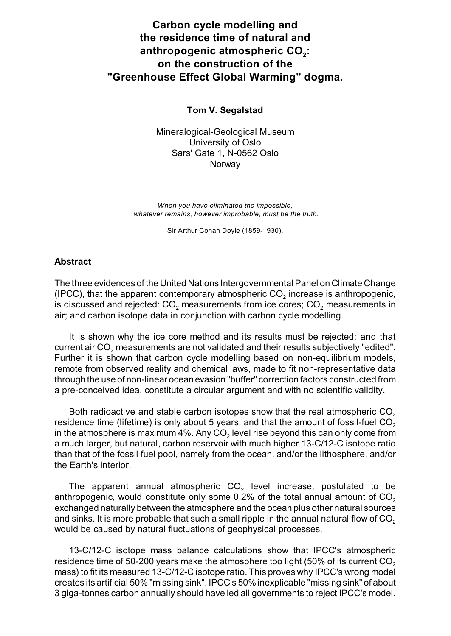# **Carbon cycle modelling and the residence time of natural and anthropogenic <sup>2</sup> atmospheric CO : on the construction of the "Greenhouse Effect Global Warming" dogma.**

### **Tom V. Segalstad**

Mineralogical-Geological Museum University of Oslo Sars' Gate 1, N-0562 Oslo Norway

*When you have eliminated the impossible, whatever remains, however improbable, must be the truth.*

Sir Arthur Conan Doyle (1859-1930).

#### **Abstract**

The three evidences of the United Nations Intergovernmental Panel on Climate Change (IPCC), that the apparent contemporary atmospheric CO $_2$  increase is anthropogenic, is discussed and rejected:  $CO<sub>2</sub>$  measurements from ice cores;  $CO<sub>2</sub>$  measurements in air; and carbon isotope data in conjunction with carbon cycle modelling.

It is shown why the ice core method and its results must be rejected; and that current air CO $_{\rm 2}$  measurements are not validated and their results subjectively "edited". Further it is shown that carbon cycle modelling based on non-equilibrium models, remote from observed reality and chemical laws, made to fit non-representative data through the use of non-linear ocean evasion "buffer" correction factors constructed from a pre-conceived idea, constitute a circular argument and with no scientific validity.

Both radioactive and stable carbon isotopes show that the real atmospheric CO $_{\rm 2}$ residence time (lifetime) is only about 5 years, and that the amount of fossil-fuel CO $_{\rm 2}$ in the atmosphere is maximum 4%. Any CO $_{\rm 2}$  level rise beyond this can only come from a much larger, but natural, carbon reservoir with much higher 13-C/12-C isotope ratio than that of the fossil fuel pool, namely from the ocean, and/or the lithosphere, and/or the Earth's interior.

The apparent annual atmospheric CO $_{\rm 2}$  level increase, postulated to be anthropogenic, would constitute only some 0.2% of the total annual amount of  $\mathsf{CO}_2$ exchanged naturally between the atmosphere and the ocean plus other natural sources and sinks. It is more probable that such a small ripple in the annual natural flow of CO $_{\rm 2}$ would be caused by natural fluctuations of geophysical processes.

13-C/12-C isotope mass balance calculations show that IPCC's atmospheric residence time of 50-200 years make the atmosphere too light (50% of its current CO $_{\rm 2}$ mass) to fit its measured 13-C/12-C isotope ratio. This proves why IPCC's wrong model creates its artificial 50% "missing sink". IPCC's 50% inexplicable "missing sink" of about 3 giga-tonnes carbon annually should have led all governments to reject IPCC's model.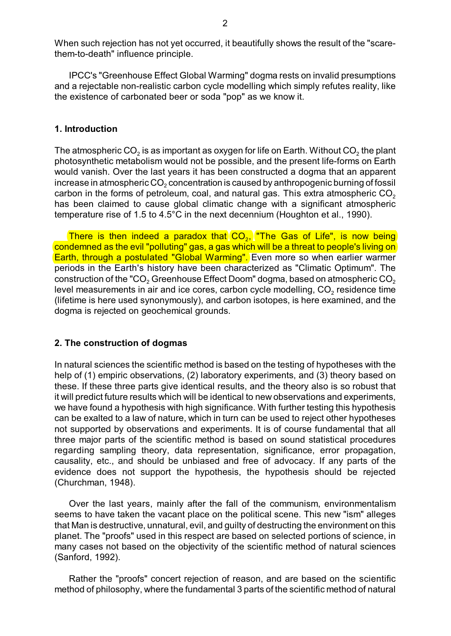When such rejection has not yet occurred, it beautifully shows the result of the "scarethem-to-death" influence principle.

IPCC's "Greenhouse Effect Global Warming" dogma rests on invalid presumptions and a rejectable non-realistic carbon cycle modelling which simply refutes reality, like the existence of carbonated beer or soda "pop" as we know it.

#### **1. Introduction**

The atmospheric CO<sub>2</sub> is as important as oxygen for life on Earth. Without CO<sub>2</sub> the plant photosynthetic metabolism would not be possible, and the present life-forms on Earth would vanish. Over the last years it has been constructed a dogma that an apparent increase in atmospheric CO $_{\rm 2}$  concentration is caused by anthropogenic burning of fossil carbon in the forms of petroleum, coal, and natural gas. This extra atmospheric CO $_{\rm 2}$ has been claimed to cause global climatic change with a significant atmospheric temperature rise of 1.5 to 4.5°C in the next decennium (Houghton et al., 1990).

There is then indeed a paradox that  $\ket{\mathsf{CO}_2}$  "The Gas of Life", is now being condemned as the evil "polluting" gas, a gas which will be a threat to people's living on Earth, through a postulated "Global Warming". Even more so when earlier warmer periods in the Earth's history have been characterized as "Climatic Optimum". The construction of the "CO<sub>2</sub> Greenhouse Effect Doom" dogma, based on atmospheric CO<sub>2</sub> level measurements in air and ice cores, carbon cycle modelling, CO $_{\rm 2}$  residence time (lifetime is here used synonymously), and carbon isotopes, is here examined, and the dogma is rejected on geochemical grounds.

#### **2. The construction of dogmas**

In natural sciences the scientific method is based on the testing of hypotheses with the help of (1) empiric observations, (2) laboratory experiments, and (3) theory based on these. If these three parts give identical results, and the theory also is so robust that it will predict future results which will be identical to new observations and experiments, we have found a hypothesis with high significance. With further testing this hypothesis can be exalted to a law of nature, which in turn can be used to reject other hypotheses not supported by observations and experiments. It is of course fundamental that all three major parts of the scientific method is based on sound statistical procedures regarding sampling theory, data representation, significance, error propagation, causality, etc., and should be unbiased and free of advocacy. If any parts of the evidence does not support the hypothesis, the hypothesis should be rejected (Churchman, 1948).

Over the last years, mainly after the fall of the communism, environmentalism seems to have taken the vacant place on the political scene. This new "ism" alleges that Man is destructive, unnatural, evil, and guilty of destructing the environment on this planet. The "proofs" used in this respect are based on selected portions of science, in many cases not based on the objectivity of the scientific method of natural sciences (Sanford, 1992).

Rather the "proofs" concert rejection of reason, and are based on the scientific method of philosophy, where the fundamental 3 parts of the scientific method of natural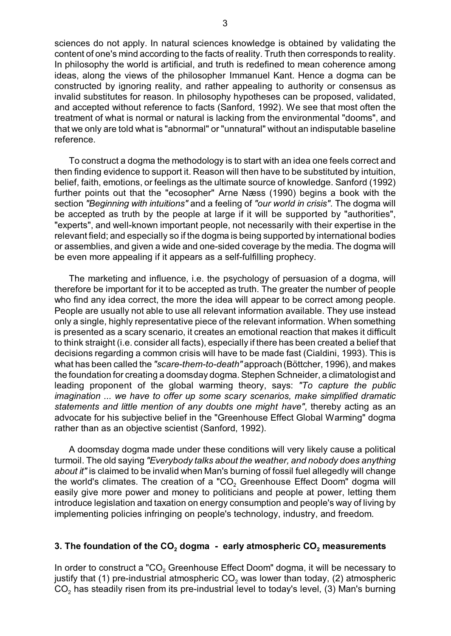3

In philosophy the world is artificial, and truth is redefined to mean coherence among ideas, along the views of the philosopher Immanuel Kant. Hence a dogma can be constructed by ignoring reality, and rather appealing to authority or consensus as invalid substitutes for reason. In philosophy hypotheses can be proposed, validated, and accepted without reference to facts (Sanford, 1992). We see that most often the treatment of what is normal or natural is lacking from the environmental "dooms", and that we only are told what is "abnormal" or "unnatural" without an indisputable baseline reference.

To construct a dogma the methodology is to start with an idea one feels correct and then finding evidence to support it. Reason will then have to be substituted by intuition, belief, faith, emotions, or feelings as the ultimate source of knowledge. Sanford (1992) further points out that the "ecosopher" Arne Næss (1990) begins a book with the section *"Beginning with intuitions"* and a feeling of *"our world in crisis"*. The dogma will be accepted as truth by the people at large if it will be supported by "authorities", "experts", and well-known important people, not necessarily with their expertise in the relevant field; and especially so if the dogma is being supported by international bodies or assemblies, and given a wide and one-sided coverage by the media. The dogma will be even more appealing if it appears as a self-fulfilling prophecy.

The marketing and influence, i.e. the psychology of persuasion of a dogma, will therefore be important for it to be accepted as truth. The greater the number of people who find any idea correct, the more the idea will appear to be correct among people. People are usually not able to use all relevant information available. They use instead only a single, highly representative piece of the relevant information. When something is presented as a scary scenario, it creates an emotional reaction that makes it difficult to think straight (i.e. consider all facts), especially if there has been created a belief that decisions regarding a common crisis will have to be made fast (Cialdini, 1993). This is what has been called the *"scare-them-to-death"* approach (Böttcher, 1996), and makes the foundation for creating a doomsday dogma. Stephen Schneider, a climatologist and leading proponent of the global warming theory, says: *"To capture the public imagination ... we have to offer up some scary scenarios, make simplified dramatic statements and little mention of any doubts one might have"*, thereby acting as an advocate for his subjective belief in the "Greenhouse Effect Global Warming" dogma rather than as an objective scientist (Sanford, 1992).

A doomsday dogma made under these conditions will very likely cause a political turmoil. The old saying *"Everybody talks about the weather, and nobody does anything about it"* is claimed to be invalid when Man's burning of fossil fuel allegedly will change the world's climates. The creation of a "CO $_{\rm 2}$  Greenhouse Effect Doom" dogma will easily give more power and money to politicians and people at power, letting them introduce legislation and taxation on energy consumption and people's way of living by implementing policies infringing on people's technology, industry, and freedom.

### **3. The foundation of the CO<sub>2</sub> dogma - early atmospheric CO<sub>2</sub> measurements**

In order to construct a "CO $_{\rm 2}$  Greenhouse Effect Doom" dogma, it will be necessary to justify that (1) pre-industrial atmospheric CO $_{\rm 2}$  was lower than today, (2) atmospheric CO $_{\rm 2}$  has steadily risen from its pre-industrial level to today's level, (3) Man's burning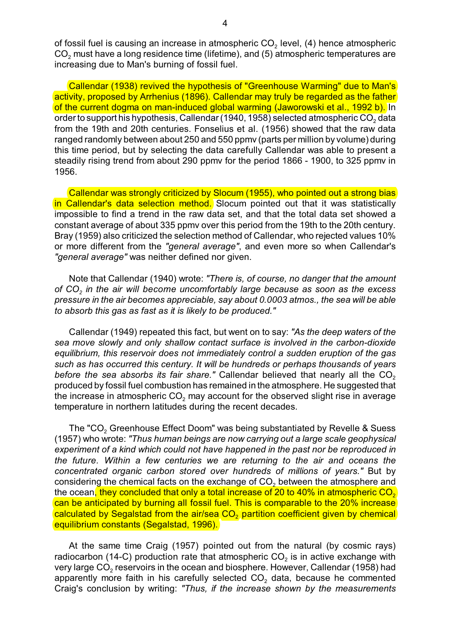of fossil fuel is causing an increase in atmospheric CO $_{\rm 2}$  level, (4) hence atmospheric CO $_{\rm 2}$  must have a long residence time (lifetime), and (5) atmospheric temperatures are increasing due to Man's burning of fossil fuel.

Callendar (1938) revived the hypothesis of "Greenhouse Warming" due to Man's activity, proposed by Arrhenius (1896). Callendar may truly be regarded as the father of the current dogma on man-induced global warming (Jaworowski et al., 1992 b). In order to support his hypothesis, Callendar (1940, 1958) selected atmospheric CO $_{\rm 2}$  data from the 19th and 20th centuries. Fonselius et al. (1956) showed that the raw data ranged randomly between about 250 and 550 ppmv (parts per million by volume) during this time period, but by selecting the data carefully Callendar was able to present a steadily rising trend from about 290 ppmv for the period 1866 - 1900, to 325 ppmv in 1956.

Callendar was strongly criticized by Slocum (1955), who pointed out a strong bias in Callendar's data selection method. Slocum pointed out that it was statistically impossible to find a trend in the raw data set, and that the total data set showed a constant average of about 335 ppmv over this period from the 19th to the 20th century. Bray (1959) also criticized the selection method of Callendar, who rejected values 10% or more different from the *"general average"*, and even more so when Callendar's *"general average"* was neither defined nor given.

Note that Callendar (1940) wrote: *"There is, of course, no danger that the amount of CO<sup>2</sup> in the air will become uncomfortably large because as soon as the excess pressure in the air becomes appreciable, say about 0.0003 atmos., the sea will be able to absorb this gas as fast as it is likely to be produced."*

Callendar (1949) repeated this fact, but went on to say: *"As the deep waters of the sea move slowly and only shallow contact surface is involved in the carbon-dioxide equilibrium, this reservoir does not immediately control a sudden eruption of the gas such as has occurred this century. It will be hundreds or perhaps thousands of years before the sea absorbs its fair share."* Callendar believed that nearly all the  $\mathsf{CO}_2$ produced by fossil fuel combustion has remained in the atmosphere. He suggested that the increase in atmospheric CO $_{\rm 2}$  may account for the observed slight rise in average temperature in northern latitudes during the recent decades.

The "CO $_{\rm 2}$  Greenhouse Effect Doom" was being substantiated by Revelle & Suess (1957) who wrote: *"Thus human beings are now carrying out a large scale geophysical experiment of a kind which could not have happened in the past nor be reproduced in the future. Within a few centuries we are returning to the air and oceans the concentrated organic carbon stored over hundreds of millions of years."* But by considering the chemical facts on the exchange of CO $_{\rm 2}$  between the atmosphere and the ocean<mark>, they concluded that only a total increase of 20 to 40% in atmospheric CO<sub>2</sub></mark> can be anticipated by burning all fossil fuel. This is comparable to the 20% increase calculated by Segalstad from the air/sea CO $_2$  partition coefficient given by chemical equilibrium constants (Segalstad, 1996).

At the same time Craig (1957) pointed out from the natural (by cosmic rays) radiocarbon (14-C) production rate that atmospheric CO $_{\rm 2}$  is in active exchange with very large CO $_{\rm 2}$  reservoirs in the ocean and biosphere. However, Callendar (1958) had apparently more faith in his carefully selected CO<sub>2</sub> data, because he commented Craig's conclusion by writing: *"Thus, if the increase shown by the measurements*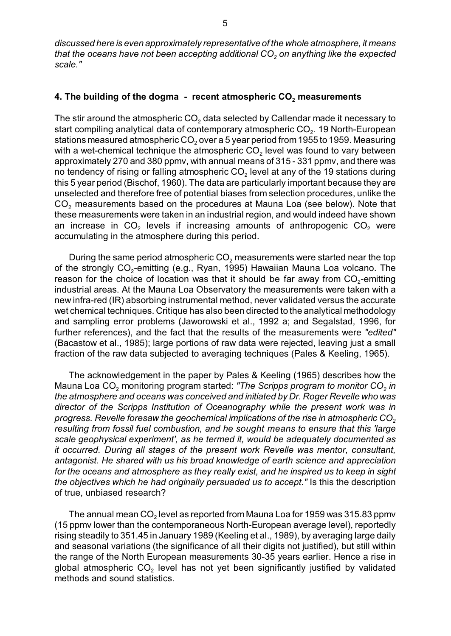*discussed here is even approximately representative of the whole atmosphere, it means 2 that the oceans have not been accepting additional CO on anything like the expected scale."*

# **4. The building of the dogma - recent atmospheric CO** $_2$  **measurements**

The stir around the atmospheric CO $_{\rm 2}$  data selected by Callendar made it necessary to start compiling analytical data of contemporary atmospheric CO $_{\rm 2}$ . 19 North-European stations measured atmospheric CO $_{\rm 2}$  over a 5 year period from 1955 to 1959. Measuring with a wet-chemical technique the atmospheric CO $_2$  level was found to vary between approximately 270 and 380 ppmv, with annual means of 315 - 331 ppmv, and there was no tendency of rising or falling atmospheric CO $_2$  level at any of the 19 stations during this 5 year period (Bischof, 1960). The data are particularly important because they are unselected and therefore free of potential biases from selection procedures, unlike the CO<sub>2</sub> measurements based on the procedures at Mauna Loa (see below). Note that these measurements were taken in an industrial region, and would indeed have shown an increase in  $CO<sub>2</sub>$  levels if increasing amounts of anthropogenic  $CO<sub>2</sub>$  were accumulating in the atmosphere during this period.

During the same period atmospheric CO $_2$  measurements were started near the top of the strongly CO<sub>2</sub>-emitting (e.g., Ryan, 1995) Hawaiian Mauna Loa volcano. The reason for the choice of location was that it should be far away from  $\mathsf{CO}_2\text{-emitting}$ industrial areas. At the Mauna Loa Observatory the measurements were taken with a new infra-red (IR) absorbing instrumental method, never validated versus the accurate wet chemical techniques. Critique has also been directed to the analytical methodology and sampling error problems (Jaworowski et al., 1992 a; and Segalstad, 1996, for further references), and the fact that the results of the measurements were *"edited"* (Bacastow et al., 1985); large portions of raw data were rejected, leaving just a small fraction of the raw data subjected to averaging techniques (Pales & Keeling, 1965).

The acknowledgement in the paper by Pales & Keeling (1965) describes how the Mauna Loa CO<sub>2</sub> monitoring program started: *"The Scripps program to monitor CO<sub>2</sub> in the atmosphere and oceans was conceived and initiated by Dr. Roger Revelle who was director of the Scripps Institution of Oceanography while the present work was in* progress. Revelle foresaw the geochemical implications of the rise in atmospheric CO<sub>2</sub> *resulting from fossil fuel combustion, and he sought means to ensure that this 'large scale geophysical experiment', as he termed it, would be adequately documented as it occurred. During all stages of the present work Revelle was mentor, consultant, antagonist. He shared with us his broad knowledge of earth science and appreciation for the oceans and atmosphere as they really exist, and he inspired us to keep in sight the objectives which he had originally persuaded us to accept."* Is this the description of true, unbiased research?

The annual mean CO $_2$  level as reported from Mauna Loa for 1959 was 315.83 ppmv (15 ppmv lower than the contemporaneous North-European average level), reportedly rising steadily to 351.45 in January 1989 (Keeling et al., 1989), by averaging large daily and seasonal variations (the significance of all their digits not justified), but still within the range of the North European measurements 30-35 years earlier. Hence a rise in global atmospheric CO $_{\rm 2}$  level has not yet been significantly justified by validated methods and sound statistics.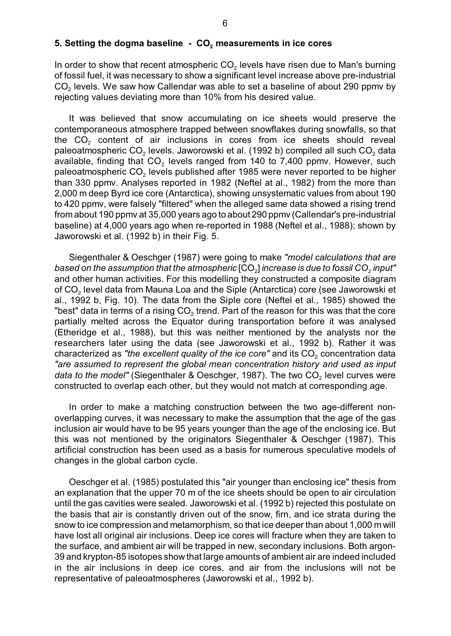## **5. Setting the dogma baseline - CO<sup>2</sup> measurements in ice cores**

In order to show that recent atmospheric CO $_{\rm 2}$  levels have risen due to Man's burning of fossil fuel, it was necessary to show a significant level increase above pre-industrial CO $_{\rm 2}$  levels. We saw how Callendar was able to set a baseline of about 290 ppmv by rejecting values deviating more than 10% from his desired value.

It was believed that snow accumulating on ice sheets would preserve the contemporaneous atmosphere trapped between snowflakes during snowfalls, so that the CO $_2$  content of air inclusions in cores from ice sheets should reveal paleoatmospheric CO<sub>2</sub> levels. Jaworowski et al. (1992 b) compiled all such CO<sub>2</sub> data available, finding that CO<sub>2</sub> levels ranged from 140 to 7,400 ppmv. However, such paleoatmospheric CO $_{\rm 2}$  levels published after 1985 were never reported to be higher than 330 ppmv. Analyses reported in 1982 (Neftel at al., 1982) from the more than 2,000 m deep Byrd ice core (Antarctica), showing unsystematic values from about 190 to 420 ppmv, were falsely "filtered" when the alleged same data showed a rising trend from about 190 ppmv at 35,000 years ago to about 290 ppmv (Callendar's pre-industrial baseline) at 4,000 years ago when re-reported in 1988 (Neftel et al., 1988); shown by Jaworowski et al. (1992 b) in their Fig. 5.

Siegenthaler & Oeschger (1987) were going to make *"model calculations that are based on* <sup>2</sup> *<sup>2</sup> the assumption that the atmospheric* [CO ] *increase is due to fossil CO input"* and other human activities. For this modelling they constructed a composite diagram of CO $_{\rm 2}$  level data from Mauna Loa and the Siple (Antarctica) core (see Jaworowski et al., 1992 b, Fig. 10). The data from the Siple core (Neftel et al., 1985) showed the "best" data in terms of a rising CO $_{\rm 2}$  trend. Part of the reason for this was that the core partially melted across the Equator during transportation before it was analysed (Etheridge et al., 1988), but this was neither mentioned by the analysts nor the researchers later using the data (see Jaworowski et al., 1992 b). Rather it was characterized as *"the excellent quality of the ice core"* and its  $\mathsf{CO}_2$  concentration data *"are assumed to represent the global mean concentration history and used as input data to the model"* (Siegenthaler & Oeschger, 1987). The two CO<sub>2</sub> level curves were constructed to overlap each other, but they would not match at corresponding age.

In order to make a matching construction between the two age-different nonoverlapping curves, it was necessary to make the assumption that the age of the gas inclusion air would have to be 95 years younger than the age of the enclosing ice. But this was not mentioned by the originators Siegenthaler & Oeschger (1987). This artificial construction has been used as a basis for numerous speculative models of changes in the global carbon cycle.

Oeschger et al. (1985) postulated this "air younger than enclosing ice" thesis from an explanation that the upper 70 m of the ice sheets should be open to air circulation until the gas cavities were sealed. Jaworowski et al. (1992 b) rejected this postulate on the basis that air is constantly driven out of the snow, firn, and ice strata during the snow to ice compression and metamorphism, so that ice deeper than about 1,000 m will have lost all original air inclusions. Deep ice cores will fracture when they are taken to the surface, and ambient air will be trapped in new, secondary inclusions. Both argon-39 and krypton-85 isotopes show that large amounts of ambient air are indeed included in the air inclusions in deep ice cores, and air from the inclusions will not be representative of paleoatmospheres (Jaworowski et al., 1992 b).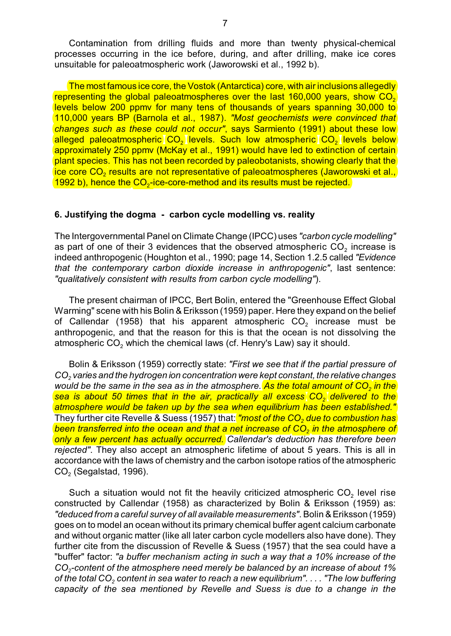Contamination from drilling fluids and more than twenty physical-chemical processes occurring in the ice before, during, and after drilling, make ice cores unsuitable for paleoatmospheric work (Jaworowski et al., 1992 b).

The most famous ice core, the Vostok (Antarctica) core, with air inclusions allegedly representing the global paleoatmospheres over the last 160,000 years, show  $\mathsf{CO}_2$ levels below 200 ppmv for many tens of thousands of years spanning 30,000 to 110,000 years BP (Barnola et al., 1987). *"Most geochemists were convinced that changes such as these could not occur"*, says Sarmiento (1991) about these low alleged paleoatmospheric CO<sub>2</sub> levels. Such low atmospheric CO<sub>2</sub> levels below approximately 250 ppmv (McKay et al., 1991) would have led to extinction of certain plant species. This has not been recorded by paleobotanists, showing clearly that the ice core CO<sub>2</sub> results are not representative of paleoatmospheres (Jaworowski et al., 1992 b), hence the  $\text{CO}_2$ -ice-core-method and its results must be rejected.

#### **6. Justifying the dogma - carbon cycle modelling vs. reality**

The Intergovernmental Panel on Climate Change (IPCC) uses *"carbon cycle modelling"* as part of one of their 3 evidences that the observed atmospheric CO $_{\rm 2}$  increase is indeed anthropogenic (Houghton et al., 1990; page 14, Section 1.2.5 called *"Evidence that the contemporary carbon dioxide increase in anthropogenic"*, last sentence: *"qualitatively consistent with results from carbon cycle modelling"*).

The present chairman of IPCC, Bert Bolin, entered the "Greenhouse Effect Global Warming" scene with his Bolin & Eriksson (1959) paper. Here they expand on the belief of Callendar (1958) that his apparent atmospheric CO $_{\rm 2}$  increase must be anthropogenic, and that the reason for this is that the ocean is not dissolving the atmospheric CO $_{\rm 2}$  which the chemical laws (cf. Henry's Law) say it should.

Bolin & Eriksson (1959) correctly state: *"First we see that if the partial pressure of CO<sup>2</sup> varies and the hydrogen ion concentration were kept constant, the relative changes* would be the same in the sea as in the atmosphere. <mark>As the total amount of CO<sub>2</sub> in the</mark> <u>bea is about 50 times that in the air, practically all excess CO<sub>2</sub> delivered to the</u> *atmosphere would be taken up by the sea when equilibrium has been established."* They further cite Revelle & Suess (1957) that: <mark>"most of the CO<sub>2</sub> due to combustion has</mark> *been t <sup>2</sup> ransferred into the ocean and that a net increase of CO in the atmosphere of only a few percent has actually occurred. Callendar's deduction has therefore been rejected"*. They also accept an atmospheric lifetime of about 5 years. This is all in accordance with the laws of chemistry and the carbon isotope ratios of the atmospheric  $\mathsf{CO}_2$  (Segalstad, 1996).

Such a situation would not fit the heavily criticized atmospheric CO<sub>2</sub> level rise constructed by Callendar (1958) as characterized by Bolin & Eriksson (1959) as: *"deduced from a careful survey of all available measurements"*. Bolin & Eriksson (1959) goes on to model an ocean without its primary chemical buffer agent calcium carbonate and without organic matter (like all later carbon cycle modellers also have done). They further cite from the discussion of Revelle & Suess (1957) that the sea could have a "buffer" factor: *"a buffer mechanism acting in such a way that a 10% increase of the CO<sup>2</sup> -content of the atmosphere need merely be balanced by an increase of about 1%* of the total CO<sub>2</sub> content in sea water to reach a new equilibrium". . . . "The low buffering *capacity of the sea mentioned by Revelle and Suess is due to a change in the*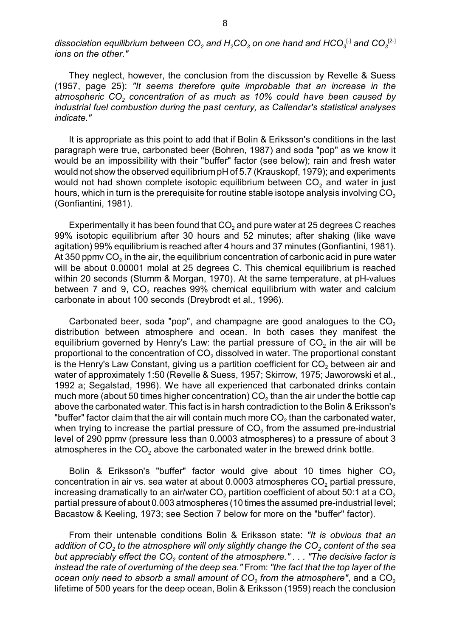$d$ issociation equilibrium between CO $_2$  and  $H_2$ CO $_3$  on one hand and HCO $_3^{\text{F1}}$  and CO $_3^{\text{[2-1]}}$ *ions on the other."*

They neglect, however, the conclusion from the discussion by Revelle & Suess (1957, page 25): *"It seems therefore quite improbable that an increase in the atmospheric CO<sup>2</sup> concentration of as much as 10% could have been caused by industrial fuel combustion during the past century, as Callendar's statistical analyses indicate."*

It is appropriate as this point to add that if Bolin & Eriksson's conditions in the last paragraph were true, carbonated beer (Bohren, 1987) and soda "pop" as we know it would be an impossibility with their "buffer" factor (see below); rain and fresh water would not show the observed equilibrium pH of 5.7 (Krauskopf, 1979); and experiments would not had shown complete isotopic equilibrium between CO $_{\rm 2}$  and water in just hours, which in turn is the prerequisite for routine stable isotope analysis involving CO $_{\rm 2}$ (Gonfiantini, 1981).

Experimentally it has been found that CO $_2$  and pure water at 25 degrees C reaches 99% isotopic equilibrium after 30 hours and 52 minutes; after shaking (like wave agitation) 99% equilibrium is reached after 4 hours and 37 minutes (Gonfiantini, 1981). At 350 ppmv CO $_{\rm 2}$  in the air, the equilibrium concentration of carbonic acid in pure water will be about 0.00001 molal at 25 degrees C. This chemical equilibrium is reached within 20 seconds (Stumm & Morgan, 1970). At the same temperature, at pH-values between 7 and 9, CO<sub>2</sub> reaches 99% chemical equilibrium with water and calcium carbonate in about 100 seconds (Dreybrodt et al., 1996).

Carbonated beer, soda "pop", and champagne are good analogues to the  $\mathsf{CO}_2$ distribution between atmosphere and ocean. In both cases they manifest the equilibrium governed by Henry's Law: the partial pressure of CO $_{\rm 2}$  in the air will be proportional to the concentration of CO $_{\rm 2}$  dissolved in water. The proportional constant is the Henry's Law Constant, giving us a partition coefficient for CO $_2$  between air and water of approximately 1:50 (Revelle & Suess, 1957; Skirrow, 1975; Jaworowski et al., 1992 a; Segalstad, 1996). We have all experienced that carbonated drinks contain much more (about 50 times higher concentration) CO $_2$  than the air under the bottle cap above the carbonated water. This fact is in harsh contradiction to the Bolin & Eriksson's "buffer" factor claim that the air will contain much more CO $_2$  than the carbonated water, when trying to increase the partial pressure of CO $_{\rm 2}$  from the assumed pre-industrial level of 290 ppmv (pressure less than 0.0003 atmospheres) to a pressure of about 3 atmospheres in the CO<sub>2</sub> above the carbonated water in the brewed drink bottle.

Bolin & Eriksson's "buffer" factor would give about 10 times higher CO $_{\rm 2}$ concentration in air vs. sea water at about 0.0003 atmospheres CO $_{\rm 2}$  partial pressure, increasing dramatically to an air/water  $CO<sub>2</sub>$  partition coefficient of about 50:1 at a  $CO<sub>2</sub>$ partial pressure of about 0.003 atmospheres (10 times the assumed pre-industrial level; Bacastow & Keeling, 1973; see Section 7 below for more on the "buffer" factor).

From their untenable conditions Bolin & Eriksson state: *"It is obvious that an addition of CO<sub>2</sub> to the atmosphere will only slightly change the CO<sub>2</sub> content of the sea bu <sup>2</sup> t appreciably effect the CO content of the atmosphere." . . . "The decisive factor is instead the rate of overturning of the deep sea."* From: *"the fact that the top layer of the*  $\rm{o}$ cean only need to absorb a small amount of CO $_{\rm{2}}$  from the atmosphere", and a CO $_{\rm{2}}$ lifetime of 500 years for the deep ocean, Bolin & Eriksson (1959) reach the conclusion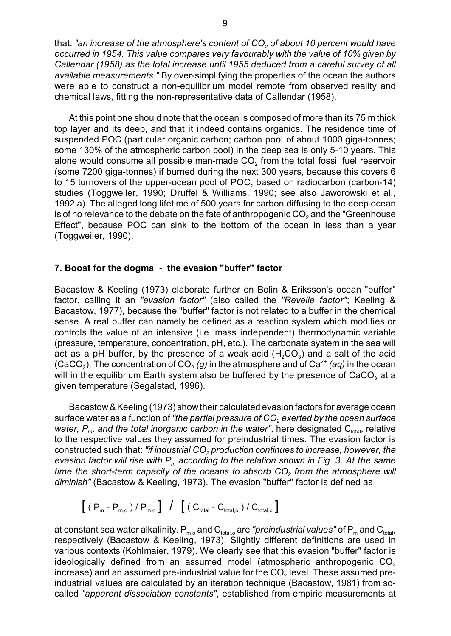*2* that: *"an increase of the atmosphere's content of CO of about 10 percent would have occurred in 1954. This value compares very favourably with the value of 10% given by Callendar (1958) as the total increase until 1955 deduced from a careful survey of all available measurements."* By over-simplifying the properties of the ocean the authors were able to construct a non-equilibrium model remote from observed reality and chemical laws, fitting the non-representative data of Callendar (1958).

At this point one should note that the ocean is composed of more than its 75 m thick top layer and its deep, and that it indeed contains organics. The residence time of suspended POC (particular organic carbon; carbon pool of about 1000 giga-tonnes; some 130% of the atmospheric carbon pool) in the deep sea is only 5-10 years. This alone would consume all possible man-made  $\mathsf{CO}_2$  from the total fossil fuel reservoir (some 7200 giga-tonnes) if burned during the next 300 years, because this covers 6 to 15 turnovers of the upper-ocean pool of POC, based on radiocarbon (carbon-14) studies (Toggweiler, 1990; Druffel & Williams, 1990; see also Jaworowski et al., 1992 a). The alleged long lifetime of 500 years for carbon diffusing to the deep ocean is of no relevance to the debate on the fate of anthropogenic CO $_2$  and the "Greenhouse Effect", because POC can sink to the bottom of the ocean in less than a year (Toggweiler, 1990).

#### **7. Boost for the dogma - the evasion "buffer" factor**

Bacastow & Keeling (1973) elaborate further on Bolin & Eriksson's ocean "buffer" factor, calling it an *"evasion factor"* (also called the *"Revelle factor"*; Keeling & Bacastow, 1977), because the "buffer" factor is not related to a buffer in the chemical sense. A real buffer can namely be defined as a reaction system which modifies or controls the value of an intensive (i.e. mass independent) thermodynamic variable (pressure, temperature, concentration, pH, etc.). The carbonate system in the sea will act as a pH buffer, by the presence of a weak acid  $(H, CO<sub>3</sub>)$  and a salt of the acid (CaCO<sub>3</sub>). The concentration of CO<sub>2</sub> (g) in the atmosphere and of Ca<sup>2+</sup> (aq) in the ocean will in the equilibrium Earth system also be buffered by the presence of CaCO $_3$  at a given temperature (Segalstad, 1996).

Bacastow&Keeling (1973) showtheir calculated evasion factors for average ocean surface water as a function of *"the partial pressure of CO<sub>2</sub> exerted by the ocean surface water, P<sub>m</sub>, and the total inorganic carbon in the water", here designated C<sub>total</sub>, relative* to the respective values they assumed for preindustrial times. The evasion factor is cons *<sup>2</sup>* tructed such that: *"if industrial CO production continues to increase, however, the evasion factor will rise with Pm according to the relation shown in Fig. 3. At the same* time the short-term capacity of the oceans to absorb  $\mathsf{CO}_2$  from the atmosphere will *diminish"* (Bacastow & Keeling, 1973). The evasion "buffer" factor is defined as

$$
\left[ \begin{array}{cc} \left( \begin{array}{cc} P_m - P_{m,o} \end{array} \right) / P_{m,o} \end{array} \right] / \left[ \begin{array}{cc} \left( \begin{array}{cc} C_{\text{total}} - C_{\text{total,o}} \end{array} \right) / C_{\text{total,o}} \end{array} \right]
$$

at constant sea water alkalinity.  $P_{m,o}$  and  $C_{total,o}$  are *"preindustrial values"* of  $P_m$  and  $C_{total}$ , respectively (Bacastow & Keeling, 1973). Slightly different definitions are used in various contexts (Kohlmaier, 1979). We clearly see that this evasion "buffer" factor is ideologically defined from an assumed model (atmospheric anthropogenic  $\mathsf{CO}_{2}$ increase) and an assumed pre-industrial value for the CO $_2$  level. These assumed preindustrial values are calculated by an iteration technique (Bacastow, 1981) from socalled *"apparent dissociation constants"*, established from empiric measurements at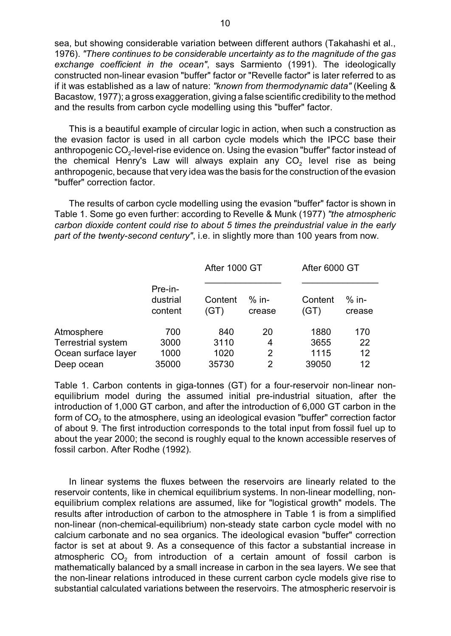sea, but showing considerable variation between different authors (Takahashi et al., 1976). *"There continues to be considerable uncertainty as to the magnitude of the gas exchange coefficient in the ocean"*, says Sarmiento (1991). The ideologically constructed non-linear evasion "buffer" factor or "Revelle factor" is later referred to as if it was established as a law of nature: *"known from thermodynamic data"* (Keeling & Bacastow, 1977); a gross exaggeration, giving a false scientific credibility to the method and the results from carbon cycle modelling using this "buffer" factor.

This is a beautiful example of circular logic in action, when such a construction as the evasion factor is used in all carbon cycle models which the IPCC base their anthropogenic CO $_2$ -level-rise evidence on. Using the evasion "buffer" factor instead of the chemical Henry's Law will always explain any CO $_{\rm 2}$  level rise as being anthropogenic, because that very idea was the basis for the construction of the evasion "buffer" correction factor.

The results of carbon cycle modelling using the evasion "buffer" factor is shown in Table 1. Some go even further: according to Revelle & Munk (1977) *"the atmospheric carbon dioxide content could rise to about 5 times the preindustrial value in the early part of the twenty-second century"*, i.e. in slightly more than 100 years from now.

|                           | Pre-in-<br>dustrial<br>content | After 1000 GT   |                   | After 6000 GT   |                   |
|---------------------------|--------------------------------|-----------------|-------------------|-----------------|-------------------|
|                           |                                | Content<br>(GT) | $%$ in-<br>crease | Content<br>(GT) | $%$ in-<br>crease |
| Atmosphere                | 700                            | 840             | 20                | 1880            | 170               |
| <b>Terrestrial system</b> | 3000                           | 3110            | 4                 | 3655            | 22                |
| Ocean surface layer       | 1000                           | 1020            | 2                 | 1115            | 12                |
| Deep ocean                | 35000                          | 35730           | 2                 | 39050           | 12                |

Table 1. Carbon contents in giga-tonnes (GT) for a four-reservoir non-linear nonequilibrium model during the assumed initial pre-industrial situation, after the introduction of 1,000 GT carbon, and after the introduction of 6,000 GT carbon in the form of CO $_{\rm 2}$  to the atmosphere, using an ideological evasion "buffer" correction factor of about 9. The first introduction corresponds to the total input from fossil fuel up to about the year 2000; the second is roughly equal to the known accessible reserves of fossil carbon. After Rodhe (1992).

In linear systems the fluxes between the reservoirs are linearly related to the reservoir contents, like in chemical equilibrium systems. In non-linear modelling, nonequilibrium complex relations are assumed, like for "logistical growth" models. The results after introduction of carbon to the atmosphere in Table 1 is from a simplified non-linear (non-chemical-equilibrium) non-steady state carbon cycle model with no calcium carbonate and no sea organics. The ideological evasion "buffer" correction factor is set at about 9. As a consequence of this factor a substantial increase in atmospheric CO $_{\rm 2}$  from introduction of a certain amount of fossil carbon is mathematically balanced by a small increase in carbon in the sea layers. We see that the non-linear relations introduced in these current carbon cycle models give rise to substantial calculated variations between the reservoirs. The atmospheric reservoir is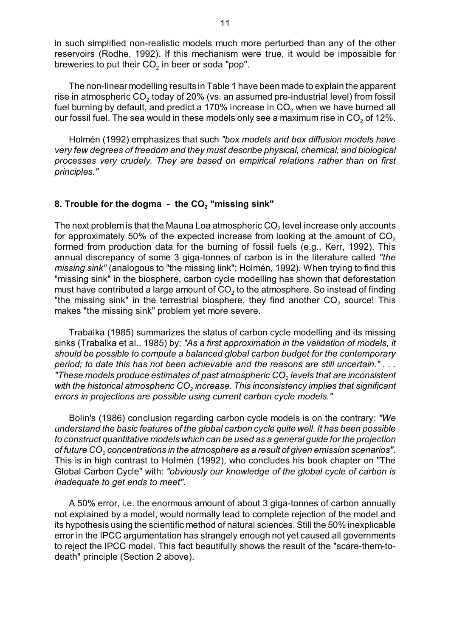in such simplified non-realistic models much more perturbed than any of the other reservoirs (Rodhe, 1992). If this mechanism were true, it would be impossible for breweries to put their CO $_{\rm 2}$  in beer or soda "pop".

The non-linear modelling results in Table 1 have been made to explain the apparent rise in atmospheric CO $_{\rm 2}$  today of 20% (vs. an assumed pre-industrial level) from fossil fuel burning by default, and predict a 170% increase in CO $_{\rm 2}$  when we have burned all our fossil fuel. The sea would in these models only see a maximum rise in CO $_{\rm 2}$  of 12%.

Holmén (1992) emphasizes that such *"box models and box diffusion models have very few degrees of freedom and they must describe physical, chemical, and biological processes very crudely. They are based on empirical relations rather than on first principles."*

# 8. Trouble for the dogma - the CO<sub>2</sub> "missing sink"

The next problem is that the Mauna Loa atmospheric CO $_2$  level increase only accounts for approximately 50% of the expected increase from looking at the amount of CO $_{\rm 2}$ formed from production data for the burning of fossil fuels (e.g., Kerr, 1992). This annual discrepancy of some 3 giga-tonnes of carbon is in the literature called *"the missing sink"* (analogous to "the missing link"; Holmén, 1992). When trying to find this "missing sink" in the biosphere, carbon cycle modelling has shown that deforestation must have contributed a large amount of CO $_{\rm 2}$  to the atmosphere. So instead of finding "the missing sink" in the terrestrial biosphere, they find another  $\mathsf{CO}_2$  source! This makes "the missing sink" problem yet more severe.

Trabalka (1985) summarizes the status of carbon cycle modelling and its missing sinks (Trabalka et al., 1985) by: *"As a first approximation in the validation of models, it should be possible to compute a balanced global carbon budget for the contemporary period; to date this has not been achievable and the reasons are still uncertain." . . . 2 "These models produce estimates of past atmospheric CO levels that are inconsistent* with the historical atmospheric CO<sub>2</sub> increase. This inconsistency implies that significant *errors in projections are possible using current carbon cycle models."*

Bolin's (1986) conclusion regarding carbon cycle models is on the contrary: *"We understand the basic features of the global carbon cycle quite well. It has been possible to construct quantitative models which can be used as a general guide for the projection of fu <sup>2</sup> ture CO concentrations in the atmosphere as a result of given emission scenarios"*. This is in high contrast to Holmén (1992), who concludes his book chapter on "The Global Carbon Cycle" with: *"obviously our knowledge of the global cycle of carbon is inadequate to get ends to meet"*.

A 50% error, i.e. the enormous amount of about 3 giga-tonnes of carbon annually not explained by a model, would normally lead to complete rejection of the model and its hypothesis using the scientific method of natural sciences. Still the 50% inexplicable error in the IPCC argumentation has strangely enough not yet caused all governments to reject the IPCC model. This fact beautifully shows the result of the "scare-them-todeath" principle (Section 2 above).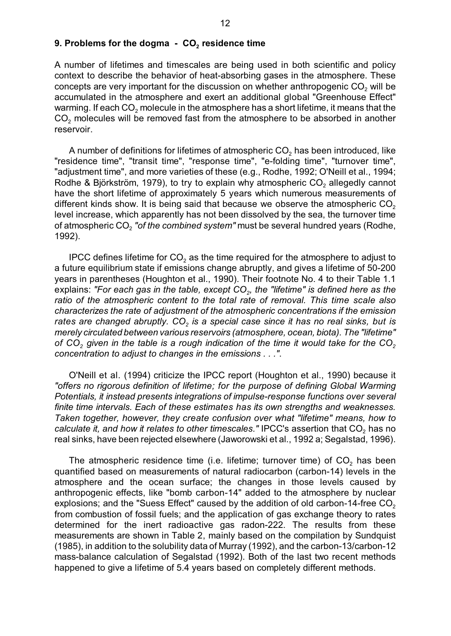### 9. Problems for the dogma - CO<sub>2</sub> residence time

A number of lifetimes and timescales are being used in both scientific and policy context to describe the behavior of heat-absorbing gases in the atmosphere. These concepts are very important for the discussion on whether anthropogenic CO $_{\rm 2}$  will be accumulated in the atmosphere and exert an additional global "Greenhouse Effect" warming. If each CO $_{\rm 2}$  molecule in the atmosphere has a short lifetime, it means that the CO $_2$  molecules will be removed fast from the atmosphere to be absorbed in another reservoir.

A number of definitions for lifetimes of atmospheric CO $_{\rm 2}$  has been introduced, like "residence time", "transit time", "response time", "e-folding time", "turnover time", "adjustment time", and more varieties of these (e.g., Rodhe, 1992; O'Neill et al., 1994; Rodhe & Björkström, 1979), to try to explain why atmospheric CO $_2$  allegedly cannot have the short lifetime of approximately 5 years which numerous measurements of different kinds show. It is being said that because we observe the atmospheric CO $_{\rm 2}$ level increase, which apparently has not been dissolved by the sea, the turnover time of atmospheric CO<sub>2</sub> "o*f the combined system"* must be several hundred years (Rodhe, 1992).

IPCC defines lifetime for CO $_{\rm 2}$  as the time required for the atmosphere to adjust to a future equilibrium state if emissions change abruptly, and gives a lifetime of 50-200 years in parentheses (Houghton et al., 1990). Their footnote No. 4 to their Table 1.1 explains: "For each gas in the table, except CO<sub>2</sub>, the "lifetime" is defined here as the *ratio of the atmospheric content to the total rate of removal. This time scale also characterizes the rate of adjustment of the atmospheric concentrations if the emission 2 rates are changed abruptly. CO is a special case since it has no real sinks, but is merely circulated between various reservoirs (atmosphere, ocean, biota). The "lifetime" o 2 2 f CO given in the table is a rough indication of the time it would take for the CO concentration to adjust to changes in the emissions . . ."*.

O'Neill et al. (1994) criticize the IPCC report (Houghton et al., 1990) because it *"offers no rigorous definition of lifetime; for the purpose of defining Global Warming Potentials, it instead presents integrations of impulse-response functions over several finite time intervals. Each of these estimates has its own strengths and weaknesses. Taken together, however, they create confusion over what "lifetime" means, how to calculate it, and how it relates to other timescales."* IPCC's assertion that CO<sub>2</sub> has no real sinks, have been rejected elsewhere (Jaworowski et al., 1992 a; Segalstad, 1996).

The atmospheric residence time (i.e. lifetime; turnover time) of CO<sub>2</sub> has been quantified based on measurements of natural radiocarbon (carbon-14) levels in the atmosphere and the ocean surface; the changes in those levels caused by anthropogenic effects, like "bomb carbon-14" added to the atmosphere by nuclear explosions; and the "Suess Effect" caused by the addition of old carbon-14-free CO $_{\rm 2}$ from combustion of fossil fuels; and the application of gas exchange theory to rates determined for the inert radioactive gas radon-222. The results from these measurements are shown in Table 2, mainly based on the compilation by Sundquist (1985), in addition to the solubility data of Murray (1992), and the carbon-13/carbon-12 mass-balance calculation of Segalstad (1992). Both of the last two recent methods happened to give a lifetime of 5.4 years based on completely different methods.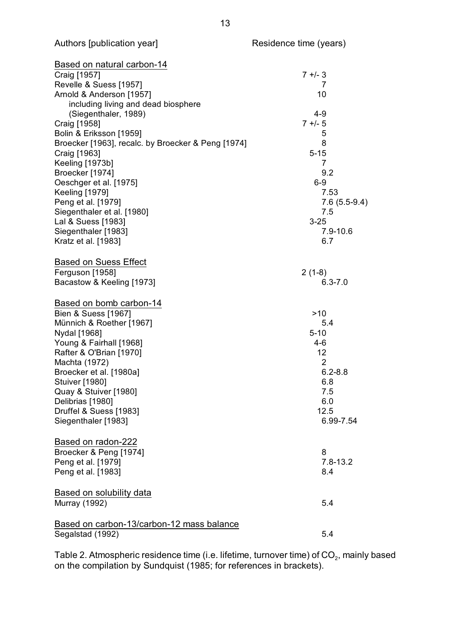| Based on natural carbon-14                         |                |
|----------------------------------------------------|----------------|
| Craig [1957]                                       | $7 +/- 3$      |
| Revelle & Suess [1957]                             | 7              |
| Arnold & Anderson [1957]                           | 10             |
| including living and dead biosphere                |                |
| (Siegenthaler, 1989)                               | $4 - 9$        |
| Craig [1958]                                       | $7 + 5$        |
| Bolin & Eriksson [1959]                            | 5              |
| Broecker [1963], recalc. by Broecker & Peng [1974] | 8              |
| Craig [1963]                                       | $5 - 15$       |
| Keeling [1973b]                                    | $\overline{7}$ |
| Broecker [1974]                                    | 9.2            |
| Oeschger et al. [1975]                             | $6-9$          |
| <b>Keeling [1979]</b>                              | 7.53           |
| Peng et al. [1979]                                 | $7.6(5.5-9.4)$ |
| Siegenthaler et al. [1980]                         | 7.5            |
| Lal & Suess [1983]                                 | $3 - 25$       |
| Siegenthaler [1983]                                | 7.9-10.6       |
| Kratz et al. [1983]                                | 6.7            |
| <b>Based on Suess Effect</b>                       |                |
| Ferguson [1958]                                    | $2(1-8)$       |
| Bacastow & Keeling [1973]                          | $6.3 - 7.0$    |
|                                                    |                |
| Based on bomb carbon-14                            |                |
| Bien & Suess [1967]                                | >10            |
| Münnich & Roether [1967]                           | 5.4            |
| Nydal [1968]                                       | $5 - 10$       |
| Young & Fairhall [1968]                            | $4-6$          |
| Rafter & O'Brian [1970]                            | 12             |
| Machta (1972)                                      | $\overline{2}$ |
| Broecker et al. [1980a]                            | $6.2 - 8.8$    |
| <b>Stuiver [1980]</b>                              | 6.8            |
| Quay & Stuiver [1980]                              | 7.5            |
| Delibrias [1980]                                   | 6.0            |
| Druffel & Suess [1983]                             | 12.5           |
| Siegenthaler [1983]                                | 6.99-7.54      |
| Based on radon-222                                 |                |
| Broecker & Peng [1974]                             | 8              |
| Peng et al. [1979]                                 | $7.8 - 13.2$   |
| Peng et al. [1983]                                 | 8.4            |
|                                                    |                |
| Based on solubility data                           |                |
| <b>Murray (1992)</b>                               | 5.4            |
| Based on carbon-13/carbon-12 mass balance          |                |
| Segalstad (1992)                                   | 5.4            |
|                                                    |                |

Table 2. Atmospheric residence time (i.e. lifetime, turnover time) of CO $_{\rm 2}$ , mainly based on the compilation by Sundquist (1985; for references in brackets).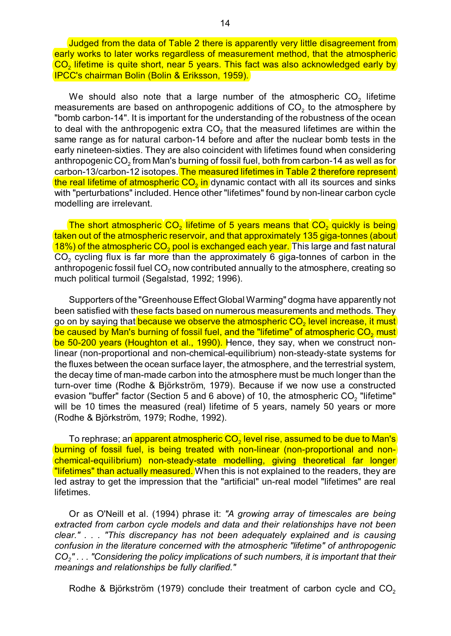Judged from the data of Table 2 there is apparently very little disagreement from early works to later works regardless of measurement method, that the atmospheric  $\mathsf{CO}_2$  lifetime is quite short, near 5 years. This fact was also acknowledged early by IPCC's chairman Bolin (Bolin & Eriksson, 1959).

We should also note that a large number of the atmospheric  $\mathsf{CO}_2$  lifetime measurements are based on anthropogenic additions of CO $_{\rm 2}$  to the atmosphere by "bomb carbon-14". It is important for the understanding of the robustness of the ocean to deal with the anthropogenic extra CO $_{\rm 2}$  that the measured lifetimes are within the same range as for natural carbon-14 before and after the nuclear bomb tests in the early nineteen-sixties. They are also coincident with lifetimes found when considering anthropogenic CO $_{\rm 2}$  from Man's burning of fossil fuel, both from carbon-14 as well as for carbon-13/carbon-12 isotopes. The measured lifetimes in Table 2 therefore represent <mark>the real lifetime of atmospheric CO<sub>2</sub> in</mark> dynamic contact with all its sources and sinks with "perturbations" included. Hence other "lifetimes" found by non-linear carbon cycle modelling are irrelevant.

The short atmospheric  $CO<sub>2</sub>$  lifetime of 5 years means that  $CO<sub>2</sub>$  quickly is being taken out of the atmospheric reservoir, and that approximately 135 giga-tonnes (about <mark>18%) of the atmospheric CO<sub>2</sub> pool is exchanged each year.</mark> This large and fast natural CO<sub>2</sub> cycling flux is far more than the approximately 6 giga-tonnes of carbon in the anthropogenic fossil fuel CO $_{\rm 2}$  now contributed annually to the atmosphere, creating so much political turmoil (Segalstad, 1992; 1996).

Supporters of the "Greenhouse Effect Global Warming" dogma have apparently not been satisfied with these facts based on numerous measurements and methods. They go on by saying that <mark>because we observe the atmospheric CO<sub>2</sub> level increase, it must</mark> be caused by Man's burning of fossil fuel, and the "lifetime" of atmospheric CO<sub>2</sub> must be 50-200 years (Houghton et al., 1990). Hence, they say, when we construct nonlinear (non-proportional and non-chemical-equilibrium) non-steady-state systems for the fluxes between the ocean surface layer, the atmosphere, and the terrestrial system, the decay time of man-made carbon into the atmosphere must be much longer than the turn-over time (Rodhe & Björkström, 1979). Because if we now use a constructed evasion "buffer" factor (Section 5 and 6 above) of 10, the atmospheric CO $_{\rm _2}$  "lifetime" will be 10 times the measured (real) lifetime of 5 years, namely 50 years or more (Rodhe & Björkström, 1979; Rodhe, 1992).

To rephrase; an apparent atmospheric CO $_2$  level rise, assumed to be due to Man's burning of fossil fuel, is being treated with non-linear (non-proportional and nonchemical-equilibrium) non-steady-state modelling, giving theoretical far longer "lifetimes" than actually measured. When this is not explained to the readers, they are led astray to get the impression that the "artificial" un-real model "lifetimes" are real lifetimes.

Or as O'Neill et al. (1994) phrase it: *"A growing array of timescales are being extracted from carbon cycle models and data and their relationships have not been clear." . . . "This discrepancy has not been adequately explained and is causing confusion in the literature concerned with the atmospheric "lifetime" of anthropogenic CO<sup>2</sup> " . . . "Considering the policy implications of such numbers, it is important that their meanings and relationships be fully clarified."*

Rodhe & Björkström (1979) conclude their treatment of carbon cycle and  $\mathsf{CO}_2$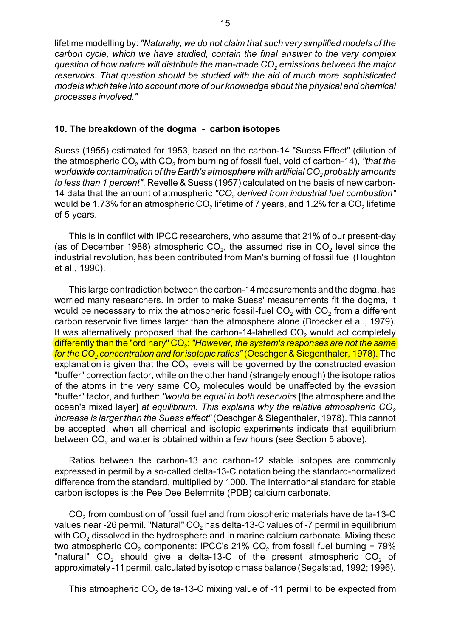lifetime modelling by: *"Naturally, we do not claim that such very simplified models of the carbon cycle, which we have studied, contain the final answer to the very complex quest <sup>2</sup> ion of how nature will distribute the man-made CO emissions between the major reservoirs. That question should be studied with the aid of much more sophisticated models which take into account more of our knowledge about the physical and chemical processes involved."*

#### **10. The breakdown of the dogma - carbon isotopes**

Suess (1955) estimated for 1953, based on the carbon-14 "Suess Effect" (dilution of the atmospheric CO<sub>2</sub> with CO<sub>2</sub> from burning of fossil fuel, void of carbon-14), "that the worldwide contamination of the Earth's atmosphere with artificial CO<sub>2</sub> probably amounts *to less than 1 percent"*. Revelle & Suess (1957) calculated on the basis of new carbon-14 data *<sup>2</sup>* that the amount of atmospheric *"CO derived from industrial fuel combustion"* would be 1.73% for an atmospheric  $CO<sub>2</sub>$  lifetime of 7 years, and 1.2% for a  $CO<sub>2</sub>$  lifetime of 5 years.

This is in conflict with IPCC researchers, who assume that 21% of our present-day (as of December 1988) atmospheric  $CO<sub>2</sub>$ , the assumed rise in  $CO<sub>2</sub>$  level since the industrial revolution, has been contributed from Man's burning of fossil fuel (Houghton et al., 1990).

This large contradiction between the carbon-14 measurements and the dogma, has worried many researchers. In order to make Suess' measurements fit the dogma, it would be necessary to mix the atmospheric fossil-fuel  $CO<sub>2</sub>$  with  $CO<sub>2</sub>$  from a different carbon reservoir five times larger than the atmosphere alone (Broecker et al., 1979). It was alternatively proposed that the carbon-14-labelled  $\mathsf{CO}_2$  would act completely differently than the "ordinary" CO<sub>2</sub>: *"However, the system's responses are not the same for the CO<sub>2</sub> concentration and for isotopic ratios" (Oeschger & Siegenthaler, 1978). The* explanation is given that the CO $_{\scriptscriptstyle 2}$  levels will be governed by the constructed evasion "buffer" correction factor, while on the other hand (strangely enough) the isotope ratios of the atoms in the very same CO<sub>2</sub> molecules would be unaffected by the evasion "buffer" factor, and further: *"would be equal in both reservoirs* [the atmosphere and the ocean *<sup>2</sup>* 's mixed layer] *at equilibrium. This explains why the relative atmospheric CO increase is larger than the Suess effect"* (Oeschger & Siegenthaler, 1978). This cannot be accepted, when all chemical and isotopic experiments indicate that equilibrium between CO $_{\rm 2}$  and water is obtained within a few hours (see Section 5 above).

Ratios between the carbon-13 and carbon-12 stable isotopes are commonly expressed in permil by a so-called delta-13-C notation being the standard-normalized difference from the standard, multiplied by 1000. The international standard for stable carbon isotopes is the Pee Dee Belemnite (PDB) calcium carbonate.

CO $_{\rm 2}$  from combustion of fossil fuel and from biospheric materials have delta-13-C values near -26 permil. "Natural" CO $_{\rm 2}$  has delta-13-C values of -7 permil in equilibrium with CO $_{\rm 2}$  dissolved in the hydrosphere and in marine calcium carbonate. Mixing these two atmospheric  $CO<sub>2</sub>$  components: IPCC's 21%  $CO<sub>2</sub>$  from fossil fuel burning + 79% "natural"  $CO<sub>2</sub>$  should give a delta-13-C of the present atmospheric  $CO<sub>2</sub>$  of approximately -11 permil, calculated by isotopic mass balance (Segalstad, 1992; 1996).

This atmospheric CO $_{\rm 2}$  delta-13-C mixing value of -11 permil to be expected from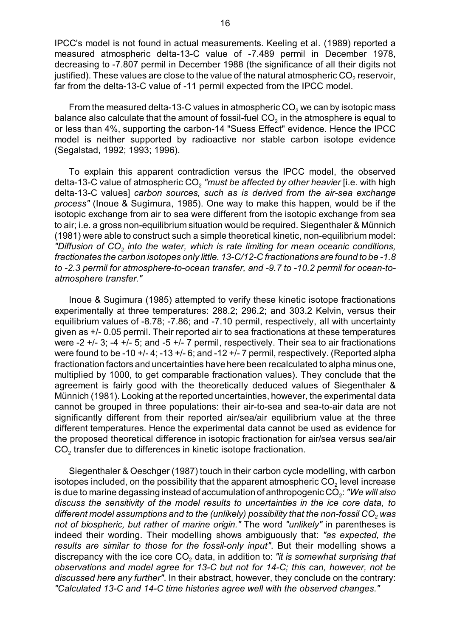IPCC's model is not found in actual measurements. Keeling et al. (1989) reported a measured atmospheric delta-13-C value of -7.489 permil in December 1978, decreasing to -7.807 permil in December 1988 (the significance of all their digits not justified). These values are close to the value of the natural atmospheric CO $_{\rm 2}$  reservoir, far from the delta-13-C value of -11 permil expected from the IPCC model.

From the measured delta-13-C values in atmospheric CO $_{\rm 2}$  we can by isotopic mass balance also calculate that the amount of fossil-fuel CO $_2$  in the atmosphere is equal to or less than 4%, supporting the carbon-14 "Suess Effect" evidence. Hence the IPCC model is neither supported by radioactive nor stable carbon isotope evidence (Segalstad, 1992; 1993; 1996).

To explain this apparent contradiction versus the IPCC model, the observed delta-13-C value of atmospheric CO<sub>2</sub> *"must be affected by other heavier* [i.e. with high delta-13-C values] *carbon sources, such as is derived from the air-sea exchange process"* (Inoue & Sugimura, 1985). One way to make this happen, would be if the isotopic exchange from air to sea were different from the isotopic exchange from sea to air; i.e. a gross non-equilibrium situation would be required. Siegenthaler & Münnich (1981) were able to construct such a simple theoretical kinetic, non-equilibrium model: "Diffusion of CO<sub>2</sub> into the water, which is rate limiting for mean oceanic conditions, *fractionates the carbon isotopes only little. 13-C/12-C fractionations are found to be -1.8 to -2.3 permil for atmosphere-to-ocean transfer, and -9.7 to -10.2 permil for ocean-toatmosphere transfer."*

Inoue & Sugimura (1985) attempted to verify these kinetic isotope fractionations experimentally at three temperatures: 288.2; 296.2; and 303.2 Kelvin, versus their equilibrium values of -8.78; -7.86; and -7.10 permil, respectively, all with uncertainty given as +/- 0.05 permil. Their reported air to sea fractionations at these temperatures were -2  $+/-$  3; -4  $+/-$  5; and -5  $+/-$  7 permil, respectively. Their sea to air fractionations were found to be -10 +/- 4; -13 +/- 6; and -12 +/- 7 permil, respectively. (Reported alpha fractionation factors and uncertainties have here been recalculated to alpha minus one, multiplied by 1000, to get comparable fractionation values). They conclude that the agreement is fairly good with the theoretically deduced values of Siegenthaler & Münnich (1981). Looking at the reported uncertainties, however, the experimental data cannot be grouped in three populations: their air-to-sea and sea-to-air data are not significantly different from their reported air/sea/air equilibrium value at the three different temperatures. Hence the experimental data cannot be used as evidence for the proposed theoretical difference in isotopic fractionation for air/sea versus sea/air  $\mathsf{CO}_2$  transfer due to differences in kinetic isotope fractionation.

Siegenthaler & Oeschger (1987) touch in their carbon cycle modelling, with carbon isotopes included, on the possibility that the apparent atmospheric CO $_2$  level increase is due to marine degassing instead of accumulation of anthropogenic CO<sub>2</sub>: *"We will also discuss the sensitivity of the model results to uncertainties in the ice core data, to* different model assumptions and to the (unlikely) possibility that the non-fossil CO<sub>2</sub> was *not of biospheric, but rather of marine origin."* The word *"unlikely"* in parentheses is indeed their wording. Their modelling shows ambiguously that: *"as expected, the results are similar to those for the fossil-only input"*. But their modelling shows a discrepancy with the ice core  $\mathsf{CO}_2$  data, in addition to: *"it is somewhat surprising that observations and model agree for 13-C but not for 14-C; this can, however, not be discussed here any further"*. In their abstract, however, they conclude on the contrary: *"Calculated 13-C and 14-C time histories agree well with the observed changes."*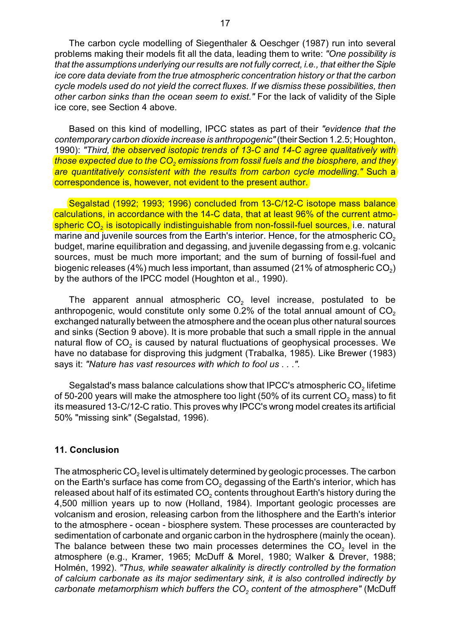The carbon cycle modelling of Siegenthaler & Oeschger (1987) run into several problems making their models fit all the data, leading them to write: *"One possibility is that the assumptions underlying our results are not fully correct, i.e., that either the Siple ice core data deviate from the true atmospheric concentration history or that the carbon cycle models used do not yield the correct fluxes. If we dismiss these possibilities, then other carbon sinks than the ocean seem to exist."* For the lack of validity of the Siple ice core, see Section 4 above.

Based on this kind of modelling, IPCC states as part of their *"evidence that the contemporary carbon dioxide increase is anthropogenic"* (their Section 1.2.5; Houghton, 1990): *"Third, the observed isotopic trends of 13-C and 14-C agree qualitatively with 2 those expected due to the CO emissions from fossil fuels and the biosphere, and they are quantitatively consistent with the results from carbon cycle modelling."* Such a correspondence is, however, not evident to the present author.

Segalstad (1992; 1993; 1996) concluded from 13-C/12-C isotope mass balance calculations, in accordance with the 14-C data, that at least 96% of the current atmo-<mark>spheric CO<sub>2</sub> is isotopically indistinguishable from non-fossil-fuel sources,</mark> i.e. natural marine and juvenile sources from the Earth's interior. Hence, for the atmospheric CO $_{\rm 2}$ budget, marine equilibration and degassing, and juvenile degassing from e.g. volcanic sources, must be much more important; and the sum of burning of fossil-fuel and biogenic releases (4%) much less important, than assumed (21% of atmospheric CO $_{\rm 2})$ by the authors of the IPCC model (Houghton et al., 1990).

The apparent annual atmospheric CO $_{\rm 2}$  level increase, postulated to be anthropogenic, would constitute only some 0.2% of the total annual amount of CO $_{\rm 2}$ exchanged naturally between the atmosphere and the ocean plus other natural sources and sinks (Section 9 above). It is more probable that such a small ripple in the annual natural flow of CO $_{\rm 2}$  is caused by natural fluctuations of geophysical processes. We have no database for disproving this judgment (Trabalka, 1985). Like Brewer (1983) says it: *"Nature has vast resources with which to fool us . . .".*

Segalstad's mass balance calculations show that IPCC's atmospheric CO $_{\rm 2}$  lifetime of 50-200 years will make the atmosphere too light (50% of its current CO $_{\rm 2}$  mass) to fit its measured 13-C/12-C ratio. This proves why IPCC's wrong model creates its artificial 50% "missing sink" (Segalstad, 1996).

#### **11. Conclusion**

The atmospheric CO $_2$  level is ultimately determined by geologic processes. The carbon on the Earth's surface has come from CO $_{\rm 2}$  degassing of the Earth's interior, which has released about half of its estimated CO $_{\rm 2}$  contents throughout Earth's history during the 4,500 million years up to now (Holland, 1984). Important geologic processes are volcanism and erosion, releasing carbon from the lithosphere and the Earth's interior to the atmosphere - ocean - biosphere system. These processes are counteracted by sedimentation of carbonate and organic carbon in the hydrosphere (mainly the ocean). The balance between these two main processes determines the CO<sub>2</sub> level in the atmosphere (e.g., Kramer, 1965; McDuff & Morel, 1980; Walker & Drever, 1988; Holmén, 1992). *"Thus, while seawater alkalinity is directly controlled by the formation of calcium carbonate as its major sedimentary sink, it is also controlled indirectly by carbonate metamorphism which buffe <sup>2</sup> rs the CO content of the atmosphere"* (McDuff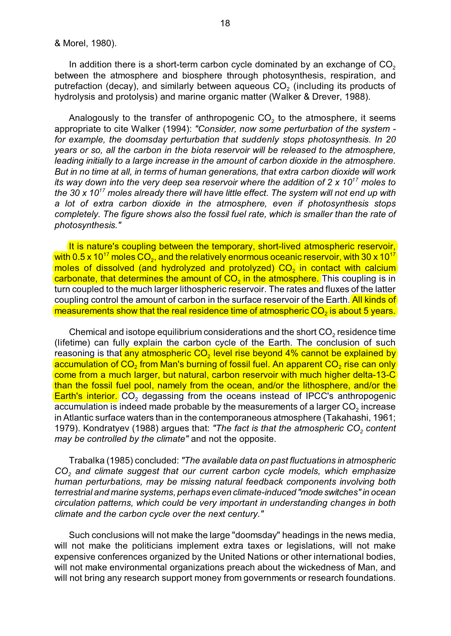In addition there is a short-term carbon cycle dominated by an exchange of  $\mathsf{CO}_2$ between the atmosphere and biosphere through photosynthesis, respiration, and putrefaction (decay), and similarly between aqueous CO $_{\rm 2}$  (including its products of hydrolysis and protolysis) and marine organic matter (Walker & Drever, 1988).

Analogously to the transfer of anthropogenic CO $_{\rm 2}$  to the atmosphere, it seems appropriate to cite Walker (1994): *"Consider, now some perturbation of the system for example, the doomsday perturbation that suddenly stops photosynthesis. In 20 years or so, all the carbon in the biota reservoir will be released to the atmosphere, leading initially to a large increase in the amount of carbon dioxide in the atmosphere. But in no time at all, in terms of human generations, that extra carbon dioxide will work its way down into the very deep sea reservoir where the addition of 2 x 10<sup>17</sup> moles to the 30 x 10<sup>17</sup> moles already there will have little effect. The system will not end up with a lot of extra carbon dioxide in the atmosphere, even if photosynthesis stops completely. The figure shows also the fossil fuel rate, which is smaller than the rate of photosynthesis."*

It is nature's coupling between the temporary, short-lived atmospheric reservoir, with 0.5 x 10 $^{17}$  moles CO<sub>2</sub>, and the relatively enormous oceanic reservoir, with 30 x 10 $^{17}$ moles of dissolved (and hydrolyzed and protolyzed)  $\mathsf{CO}_2$  in contact with calcium <mark>carbonate, that determines the amount of CO<sub>2</sub> in the atmosphere.</mark> This coupling is in turn coupled to the much larger lithospheric reservoir. The rates and fluxes of the latter coupling control the amount of carbon in the surface reservoir of the Earth. All kinds of measurements show that the real residence time of atmospheric CO $_2$  is about 5 years.

Chemical and isotope equilibrium considerations and the short  $\mathsf{CO}_2$  residence time (lifetime) can fully explain the carbon cycle of the Earth. The conclusion of such reasoning is tha<mark>t any atmospheric CO<sub>2</sub> level rise beyond 4% cannot be explained by</mark> accumulation of CO<sub>2</sub> from Man's burning of fossil fuel. An apparent CO<sub>2</sub> rise can only come from a much larger, but natural, carbon reservoir with much higher delta-13-C than the fossil fuel pool, namely from the ocean, and/or the lithosphere, and/or the <mark>Earth's interior.</mark> CO<sub>2</sub> degassing from the oceans instead of IPCC's anthropogenic accumulation is indeed made probable by the measurements of a larger CO $_{\scriptscriptstyle 2}$  increase in Atlantic surface waters than in the contemporaneous atmosphere (Takahashi, 1961; 1979). Kondratyev (1988) argues that: *"The fact is that the atmospheric CO<sub>2</sub> content may be controlled by the climate"* and not the opposite.

Trabalka (1985) concluded: *"The available data on past fluctuations in atmospheric CO<sup>2</sup> and climate suggest that our current carbon cycle models, which emphasize human perturbations, may be missing natural feedback components involving both terrestrial and marine systems, perhaps even climate-induced "mode switches" in ocean circulation patterns, which could be very important in understanding changes in both climate and the carbon cycle over the next century."*

Such conclusions will not make the large "doomsday" headings in the news media, will not make the politicians implement extra taxes or legislations, will not make expensive conferences organized by the United Nations or other international bodies, will not make environmental organizations preach about the wickedness of Man, and will not bring any research support money from governments or research foundations.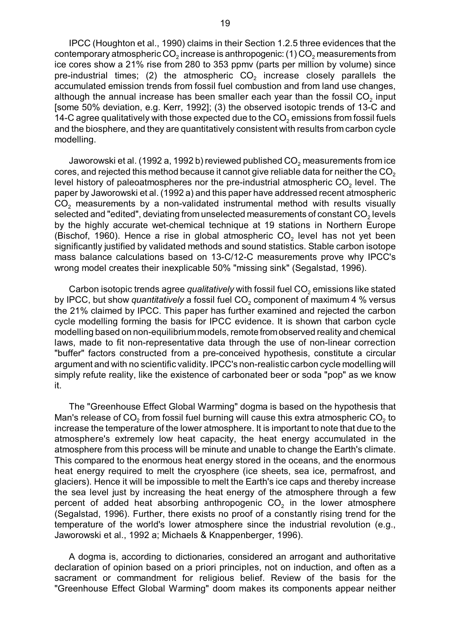IPCC (Houghton et al., 1990) claims in their Section 1.2.5 three evidences that the contemporary atmospheric  $CO<sub>2</sub>$  increase is anthropogenic: (1)  $CO<sub>2</sub>$  measurements from ice cores show a 21% rise from 280 to 353 ppmv (parts per million by volume) since pre-industrial times; (2) the atmospheric CO $_{\rm 2}$  increase closely parallels the accumulated emission trends from fossil fuel combustion and from land use changes, although the annual increase has been smaller each year than the fossil CO $_{\rm 2}$  input [some 50% deviation, e.g. Kerr, 1992]; (3) the observed isotopic trends of 13-C and 14-C agree qualitatively with those expected due to the CO $_{\rm 2}$  emissions from fossil fuels and the biosphere, and they are quantitatively consistent with results from carbon cycle modelling.

Jaworowski et al. (1992 a, 1992 b) reviewed published CO $_{\rm 2}$  measurements from ice cores, and rejected this method because it cannot give reliable data for neither the CO $_{\rm 2}$ level history of paleoatmospheres nor the pre-industrial atmospheric CO $_{\scriptscriptstyle 2}$  level. The paper by Jaworowski et al. (1992 a) and this paper have addressed recent atmospheric  $\mathsf{CO}_2$  measurements by a non-validated instrumental method with results visually selected and "edited", deviating from unselected measurements of constant CO $_{\textrm{\tiny{2}}}$  levels by the highly accurate wet-chemical technique at 19 stations in Northern Europe (Bischof, 1960). Hence a rise in global atmospheric CO<sub>2</sub> level has not yet been significantly justified by validated methods and sound statistics. Stable carbon isotope mass balance calculations based on 13-C/12-C measurements prove why IPCC's wrong model creates their inexplicable 50% "missing sink" (Segalstad, 1996).

Carbon isotopic trends agree *qualitatively* with fossil fuel CO $_{\rm 2}$  emissions like stated by IPCC, but show *quantitatively* a fossil fuel CO<sub>2</sub> component of maximum 4 % versus the 21% claimed by IPCC. This paper has further examined and rejected the carbon cycle modelling forming the basis for IPCC evidence. It is shown that carbon cycle modelling based on non-equilibrium models, remote from observed reality and chemical laws, made to fit non-representative data through the use of non-linear correction "buffer" factors constructed from a pre-conceived hypothesis, constitute a circular argument and with no scientific validity. IPCC's non-realistic carbon cycle modelling will simply refute reality, like the existence of carbonated beer or soda "pop" as we know it.

The "Greenhouse Effect Global Warming" dogma is based on the hypothesis that Man's release of  $CO<sub>2</sub>$  from fossil fuel burning will cause this extra atmospheric  $CO<sub>2</sub>$  to increase the temperature of the lower atmosphere. It is important to note that due to the atmosphere's extremely low heat capacity, the heat energy accumulated in the atmosphere from this process will be minute and unable to change the Earth's climate. This compared to the enormous heat energy stored in the oceans, and the enormous heat energy required to melt the cryosphere (ice sheets, sea ice, permafrost, and glaciers). Hence it will be impossible to melt the Earth's ice caps and thereby increase the sea level just by increasing the heat energy of the atmosphere through a few percent of added heat absorbing anthropogenic CO<sub>2</sub> in the lower atmosphere (Segalstad, 1996). Further, there exists no proof of a constantly rising trend for the temperature of the world's lower atmosphere since the industrial revolution (e.g., Jaworowski et al., 1992 a; Michaels & Knappenberger, 1996).

A dogma is, according to dictionaries, considered an arrogant and authoritative declaration of opinion based on a priori principles, not on induction, and often as a sacrament or commandment for religious belief. Review of the basis for the "Greenhouse Effect Global Warming" doom makes its components appear neither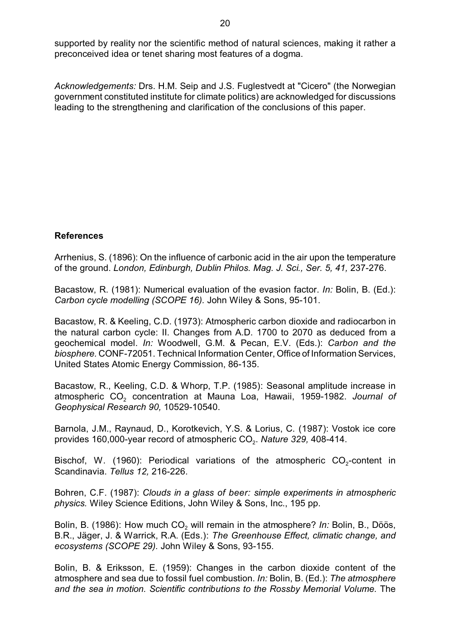supported by reality nor the scientific method of natural sciences, making it rather a preconceived idea or tenet sharing most features of a dogma.

*Acknowledgements:* Drs. H.M. Seip and J.S. Fuglestvedt at "Cicero" (the Norwegian government constituted institute for climate politics) are acknowledged for discussions leading to the strengthening and clarification of the conclusions of this paper.

# **References**

Arrhenius, S. (1896): On the influence of carbonic acid in the air upon the temperature of the ground. *London, Edinburgh, Dublin Philos. Mag. J. Sci., Ser. 5, 41,* 237-276.

Bacastow, R. (1981): Numerical evaluation of the evasion factor. *In:* Bolin, B. (Ed.): *Carbon cycle modelling (SCOPE 16).* John Wiley & Sons, 95-101.

Bacastow, R. & Keeling, C.D. (1973): Atmospheric carbon dioxide and radiocarbon in the natural carbon cycle: II. Changes from A.D. 1700 to 2070 as deduced from a geochemical model. *In:* Woodwell, G.M. & Pecan, E.V. (Eds.): *Carbon and the biosphere.* CONF-72051. Technical Information Center, Office of Information Services, United States Atomic Energy Commission, 86-135.

Bacastow, R., Keeling, C.D. & Whorp, T.P. (1985): Seasonal amplitude increase in atmospheric CO<sub>2</sub> concentration at Mauna Loa, Hawaii, 1959-1982. *Journal of Geophysical Research 90,* 10529-10540.

Barnola, J.M., Raynaud, D., Korotkevich, Y.S. & Lorius, C. (1987): Vostok ice core provides 160,000-year record of atmospheric CO<sub>2</sub>. *Nature 329,* 408-414.

Bischof, W. (1960): Periodical variations of the atmospheric CO<sub>2</sub>-content in Scandinavia. *Tellus 12,* 216-226.

Bohren, C.F. (1987): *Clouds in a glass of beer: simple experiments in atmospheric physics.* Wiley Science Editions, John Wiley & Sons, Inc., 195 pp.

Bolin, B. (1986): How much CO<sub>2</sub> will remain in the atmosphere? *In:* Bolin, B., Döös, B.R., Jäger, J. & Warrick, R.A. (Eds.): *The Greenhouse Effect, climatic change, and ecosystems (SCOPE 29).* John Wiley & Sons, 93-155.

Bolin, B. & Eriksson, E. (1959): Changes in the carbon dioxide content of the atmosphere and sea due to fossil fuel combustion. *In:* Bolin, B. (Ed.): *The atmosphere and the sea in motion. Scientific contributions to the Rossby Memorial Volume.* The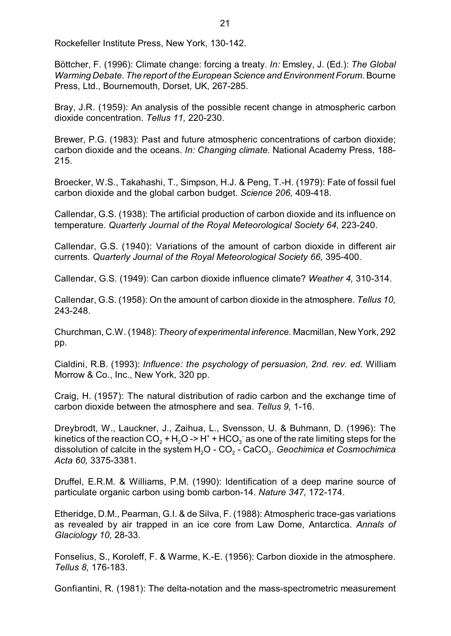Rockefeller Institute Press, New York, 130-142.

Böttcher, F. (1996): Climate change: forcing a treaty. *In:* Emsley, J. (Ed.): *The Global Warming Debate. The report of the European Science and Environment Forum.* Bourne Press, Ltd., Bournemouth, Dorset, UK, 267-285.

Bray, J.R. (1959): An analysis of the possible recent change in atmospheric carbon dioxide concentration. *Tellus 11,* 220-230.

Brewer, P.G. (1983): Past and future atmospheric concentrations of carbon dioxide; carbon dioxide and the oceans. *In: Changing climate.* National Academy Press, 188- 215.

Broecker, W.S., Takahashi, T., Simpson, H.J. & Peng, T.-H. (1979): Fate of fossil fuel carbon dioxide and the global carbon budget. *Science 206,* 409-418.

Callendar, G.S. (1938): The artificial production of carbon dioxide and its influence on temperature. *Quarterly Journal of the Royal Meteorological Society 64,* 223-240.

Callendar, G.S. (1940): Variations of the amount of carbon dioxide in different air currents. *Quarterly Journal of the Royal Meteorological Society 66,* 395-400.

Callendar, G.S. (1949): Can carbon dioxide influence climate? *Weather 4,* 310-314.

Callendar, G.S. (1958): On the amount of carbon dioxide in the atmosphere. *Tellus 10,* 243-248.

Churchman, C.W. (1948): *Theory of experimental inference.* Macmillan, NewYork, 292 pp.

Cialdini, R.B. (1993): *Influence: the psychology of persuasion, 2nd. rev. ed.* William Morrow & Co., Inc., New York, 320 pp.

Craig, H. (1957): The natural distribution of radio carbon and the exchange time of carbon dioxide between the atmosphere and sea. *Tellus 9,* 1-16.

Dreybrodt, W., Lauckner, J., Zaihua, L., Svensson, U. & Buhmann, D. (1996): The kinetics of the reaction CO $_2$  + H $_2$ O -> H $^{\ast}$  + HCO $_3^{\circ}$  as one of the rate limiting steps for the dissolution of calcite in the system  $\mathsf{H}_2\mathsf{O}$  -  $\mathsf{CO}_2$  -  $\mathsf{CaCO}_3$ . *Geochimica et Cosmochimica Acta 60,* 3375-3381.

Druffel, E.R.M. & Williams, P.M. (1990): Identification of a deep marine source of particulate organic carbon using bomb carbon-14. *Nature 347,* 172-174.

Etheridge, D.M., Pearman, G.I. & de Silva, F. (1988): Atmospheric trace-gas variations as revealed by air trapped in an ice core from Law Dome, Antarctica. *Annals of Glaciology 10,* 28-33.

Fonselius, S., Koroleff, F. & Warme, K.-E. (1956): Carbon dioxide in the atmosphere. *Tellus 8,* 176-183.

Gonfiantini, R. (1981): The delta-notation and the mass-spectrometric measurement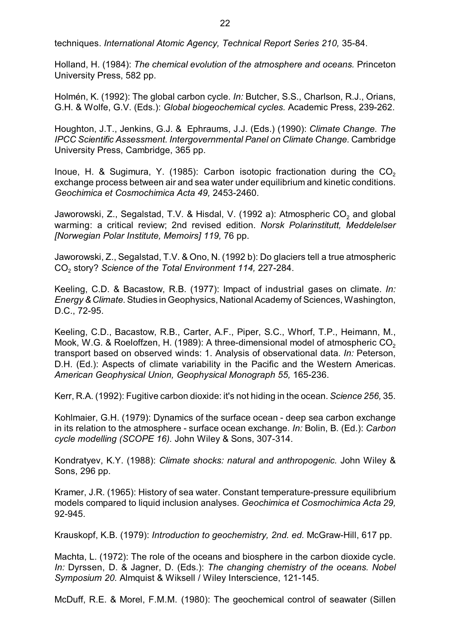techniques. *International Atomic Agency, Technical Report Series 210,* 35-84.

Holland, H. (1984): *The chemical evolution of the atmosphere and oceans.* Princeton University Press, 582 pp.

Holmén, K. (1992): The global carbon cycle. *In:* Butcher, S.S., Charlson, R.J., Orians, G.H. & Wolfe, G.V. (Eds.): *Global biogeochemical cycles.* Academic Press, 239-262.

Houghton, J.T., Jenkins, G.J. & Ephraums, J.J. (Eds.) (1990): *Climate Change. The IPCC Scientific Assessment. Intergovernmental Panel on Climate Change.* Cambridge University Press, Cambridge, 365 pp.

Inoue, H. & Sugimura, Y. (1985): Carbon isotopic fractionation during the  $\mathsf{CO}_2$ exchange process between air and sea water under equilibrium and kinetic conditions. *Geochimica et Cosmochimica Acta 49,* 2453-2460.

Jaworowski, Z., Segalstad, T.V. & Hisdal, V. (1992 a): Atmospheric CO $_{\rm 2}$  and global warming: a critical review; 2nd revised edition. *Norsk Polarinstitutt, Meddelelser [Norwegian Polar Institute, Memoirs] 119,* 76 pp.

Jaworowski, Z., Segalstad, T.V. & Ono, N. (1992 b): Do glaciers tell a true atmospheric CO<sup>2</sup> story? *Science of the Total Environment 114,* 227-284.

Keeling, C.D. & Bacastow, R.B. (1977): Impact of industrial gases on climate. *In: Energy & Climate.*Studies in Geophysics, National Academy of Sciences, Washington, D.C., 72-95.

Keeling, C.D., Bacastow, R.B., Carter, A.F., Piper, S.C., Whorf, T.P., Heimann, M., Mook, W.G. & Roeloffzen, H. (1989): A three-dimensional model of atmospheric CO $_{\rm 2}$ transport based on observed winds: 1. Analysis of observational data. *In:* Peterson, D.H. (Ed.): Aspects of climate variability in the Pacific and the Western Americas. *American Geophysical Union, Geophysical Monograph 55,* 165-236.

Kerr, R.A. (1992): Fugitive carbon dioxide: it's not hiding in the ocean. *Science 256,* 35.

Kohlmaier, G.H. (1979): Dynamics of the surface ocean - deep sea carbon exchange in its relation to the atmosphere - surface ocean exchange. *In:* Bolin, B. (Ed.): *Carbon cycle modelling (SCOPE 16).* John Wiley & Sons, 307-314.

Kondratyev, K.Y. (1988): *Climate shocks: natural and anthropogenic.* John Wiley & Sons, 296 pp.

Kramer, J.R. (1965): History of sea water. Constant temperature-pressure equilibrium models compared to liquid inclusion analyses. *Geochimica et Cosmochimica Acta 29,* 92-945.

Krauskopf, K.B. (1979): *Introduction to geochemistry, 2nd. ed.* McGraw-Hill, 617 pp.

Machta, L. (1972): The role of the oceans and biosphere in the carbon dioxide cycle. *In:* Dyrssen, D. & Jagner, D. (Eds.): *The changing chemistry of the oceans. Nobel Symposium 20.* Almquist & Wiksell / Wiley Interscience, 121-145.

McDuff, R.E. & Morel, F.M.M. (1980): The geochemical control of seawater (Sillen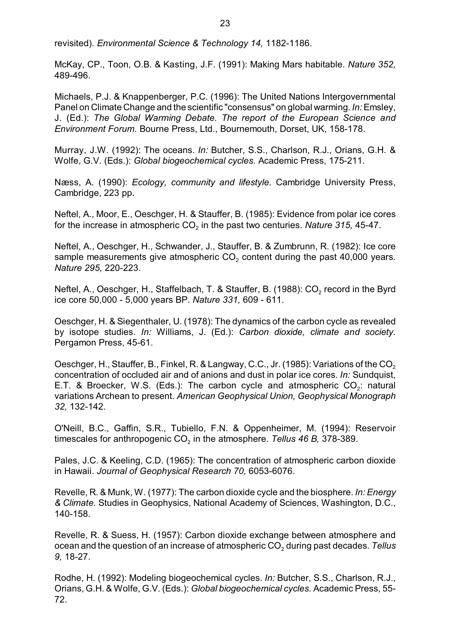revisited). *Environmental Science & Technology 14,* 1182-1186.

McKay, CP., Toon, O.B. & Kasting, J.F. (1991): Making Mars habitable. *Nature 352,* 489-496.

Michaels, P.J. & Knappenberger, P.C. (1996): The United Nations Intergovernmental Panel on Climate Change and the scientific "consensus" on global warming. *In:* Emsley, J. (Ed.): *The Global Warming Debate. The report of the European Science and Environment Forum.* Bourne Press, Ltd., Bournemouth, Dorset, UK, 158-178.

Murray, J.W. (1992): The oceans. *In:* Butcher, S.S., Charlson, R.J., Orians, G.H. & Wolfe, G.V. (Eds.): *Global biogeochemical cycles.* Academic Press, 175-211.

Næss, A. (1990): *Ecology, community and lifestyle.* Cambridge University Press, Cambridge, 223 pp.

Neftel, A., Moor, E., Oeschger, H. & Stauffer, B. (1985): Evidence from polar ice cores for the increase in atmospheric CO $_{\rm 2}$  in the past two centuries. *Nature 315,* 45-47.

Neftel, A., Oeschger, H., Schwander, J., Stauffer, B. & Zumbrunn, R. (1982): Ice core sample measurements give atmospheric CO $_{\rm 2}$  content during the past 40,000 years. *Nature 295,* 220-223.

Neftel, A., Oeschger, H., Staffelbach, T. & Stauffer, B. (1988): CO $_{\rm 2}$  record in the Byrd ice core 50,000 - 5,000 years BP. *Nature 331,* 609 - 611.

Oeschger, H. & Siegenthaler, U. (1978): The dynamics of the carbon cycle as revealed by isotope studies. *In:* Williams, J. (Ed.): *Carbon dioxide, climate and society.* Pergamon Press, 45-61.

Oeschger, H., Stauffer, B., Finkel, R. & Langway, C.C., Jr. (1985): Variations of the CO $_{\rm 2}$ concentration of occluded air and of anions and dust in polar ice cores. *In:* Sundquist, E.T. & Broecker, W.S. (Eds.): The carbon cycle and atmospheric  $CO_2$ : natural variations Archean to present. *American Geophysical Union, Geophysical Monograph 32,* 132-142.

O'Neill, B.C., Gaffin, S.R., Tubiello, F.N. & Oppenheimer, M. (1994): Reservoir timescales for anthropogenic CO<sub>2</sub> in the atmosphere. *Tellus 46 B,* 378-389.

Pales, J.C. & Keeling, C.D. (1965): The concentration of atmospheric carbon dioxide in Hawaii. *Journal of Geophysical Research 70,* 6053-6076.

Revelle, R. & Munk, W. (1977): The carbon dioxide cycle and the biosphere. *In: Energy & Climate.* Studies in Geophysics, National Academy of Sciences, Washington, D.C., 140-158.

Revelle, R. & Suess, H. (1957): Carbon dioxide exchange between atmosphere and ocean and the question of an increase of atmospheric CO<sub>2</sub> during past decades. *Tellus 9,* 18-27.

Rodhe, H. (1992): Modeling biogeochemical cycles. *In:* Butcher, S.S., Charlson, R.J., Orians, G.H. & Wolfe, G.V. (Eds.): *Global biogeochemical cycles.* Academic Press, 55- 72.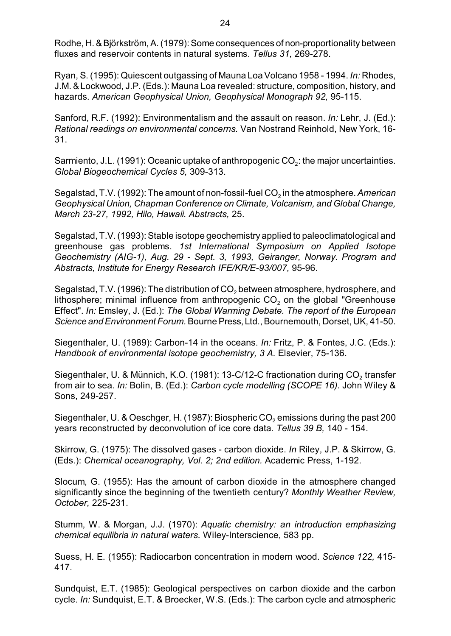Rodhe, H. & Björkström, A. (1979): Some consequences of non-proportionality between fluxes and reservoir contents in natural systems. *Tellus 31,* 269-278.

Ryan, S. (1995): Quiescent outgassing of Mauna Loa Volcano 1958 - 1994. *In:* Rhodes, J.M. & Lockwood, J.P. (Eds.): Mauna Loa revealed: structure, composition, history, and hazards. *American Geophysical Union, Geophysical Monograph 92,* 95-115.

Sanford, R.F. (1992): Environmentalism and the assault on reason. *In:* Lehr, J. (Ed.): *Rational readings on environmental concerns.* Van Nostrand Reinhold, New York, 16- 31.

Sarmiento, J.L. (1991): Oceanic uptake of anthropogenic CO $_2$ : the major uncertainties. *Global Biogeochemical Cycles 5,* 309-313.

Segalstad, T.V. (1992): The amount of non-fossil-fuel CO<sub>2</sub> in the atmosphere. *American Geophysical Union, Chapman Conference on Climate, Volcanism, and Global Change, March 23-27, 1992, Hilo, Hawaii. Abstracts,* 25.

Segalstad, T.V. (1993): Stable isotope geochemistry applied to paleoclimatological and greenhouse gas problems. *1st International Symposium on Applied Isotope Geochemistry (AIG-1), Aug. 29 - Sept. 3, 1993, Geiranger, Norway. Program and Abstracts, Institute for Energy Research IFE/KR/E-93/007,* 95-96.

Segalstad, T.V. (1996): The distribution of CO $_2$  between atmosphere, hydrosphere, and lithosphere; minimal influence from anthropogenic CO $_{\rm 2}$  on the global "Greenhouse Effect". *In:* Emsley, J. (Ed.): *The Global Warming Debate. The report of the European Science and Environment Forum.* Bourne Press, Ltd., Bournemouth, Dorset, UK, 41-50.

Siegenthaler, U. (1989): Carbon-14 in the oceans. *In:* Fritz, P. & Fontes, J.C. (Eds.): *Handbook of environmental isotope geochemistry, 3 A.* Elsevier, 75-136.

Siegenthaler, U. & Münnich, K.O. (1981): 13-C/12-C fractionation during CO $_{\rm 2}$  transfer from air to sea. *In:* Bolin, B. (Ed.): *Carbon cycle modelling (SCOPE 16).* John Wiley & Sons, 249-257.

Siegenthaler, U. & Oeschger, H. (1987): Biospheric CO $_2$  emissions during the past 200  $\,$ years reconstructed by deconvolution of ice core data. *Tellus 39 B,* 140 - 154.

Skirrow, G. (1975): The dissolved gases - carbon dioxide. *In* Riley, J.P. & Skirrow, G. (Eds.): *Chemical oceanography, Vol. 2; 2nd edition.* Academic Press, 1-192.

Slocum, G. (1955): Has the amount of carbon dioxide in the atmosphere changed significantly since the beginning of the twentieth century? *Monthly Weather Review, October,* 225-231.

Stumm, W. & Morgan, J.J. (1970): *Aquatic chemistry: an introduction emphasizing chemical equilibria in natural waters.* Wiley-Interscience, 583 pp.

Suess, H. E. (1955): Radiocarbon concentration in modern wood. *Science 122,* 415- 417.

Sundquist, E.T. (1985): Geological perspectives on carbon dioxide and the carbon cycle. *In:* Sundquist, E.T. & Broecker, W.S. (Eds.): The carbon cycle and atmospheric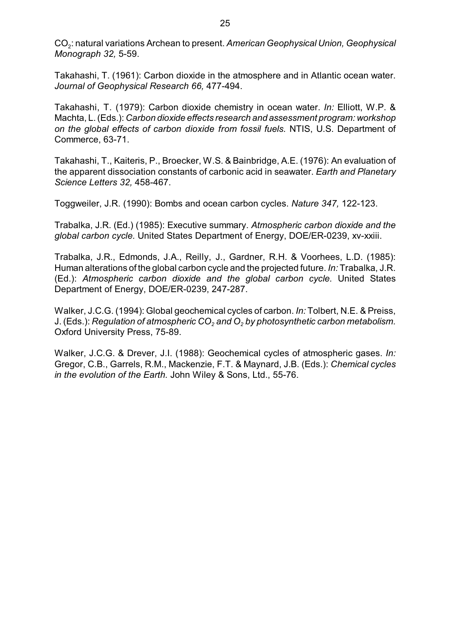CO<sub>2</sub>: natural variations Archean to present. *American Geophysical Union, Geophysical Monograph 32,* 5-59.

Takahashi, T. (1961): Carbon dioxide in the atmosphere and in Atlantic ocean water. *Journal of Geophysical Research 66,* 477-494.

Takahashi, T. (1979): Carbon dioxide chemistry in ocean water. *In:* Elliott, W.P. & Machta, L. (Eds.): *Carbon dioxide effects research and assessment program: workshop on the global effects of carbon dioxide from fossil fuels.* NTIS, U.S. Department of Commerce, 63-71.

Takahashi, T., Kaiteris, P., Broecker, W.S. & Bainbridge, A.E. (1976): An evaluation of the apparent dissociation constants of carbonic acid in seawater. *Earth and Planetary Science Letters 32,* 458-467.

Toggweiler, J.R. (1990): Bombs and ocean carbon cycles. *Nature 347,* 122-123.

Trabalka, J.R. (Ed.) (1985): Executive summary. *Atmospheric carbon dioxide and the global carbon cycle.* United States Department of Energy, DOE/ER-0239, xv-xxiii.

Trabalka, J.R., Edmonds, J.A., Reilly, J., Gardner, R.H. & Voorhees, L.D. (1985): Human alterations of the global carbon cycle and the projected future. *In:* Trabalka, J.R. (Ed.): *Atmospheric carbon dioxide and the global carbon cycle.* United States Department of Energy, DOE/ER-0239, 247-287.

Walker, J.C.G. (1994): Global geochemical cycles of carbon. *In:* Tolbert, N.E. & Preiss, J. *2 2* (Eds.): *Regulation of atmospheric CO and O by photosynthetic carbon metabolism.* Oxford University Press, 75-89.

Walker, J.C.G. & Drever, J.I. (1988): Geochemical cycles of atmospheric gases. *In:* Gregor, C.B., Garrels, R.M., Mackenzie, F.T. & Maynard, J.B. (Eds.): *Chemical cycles in the evolution of the Earth.* John Wiley & Sons, Ltd., 55-76.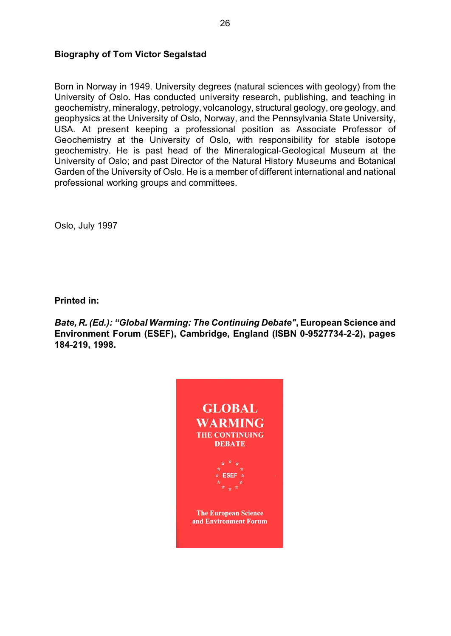# **Biography of Tom Victor Segalstad**

Born in Norway in 1949. University degrees (natural sciences with geology) from the University of Oslo. Has conducted university research, publishing, and teaching in geochemistry, mineralogy, petrology, volcanology, structural geology, ore geology, and geophysics at the University of Oslo, Norway, and the Pennsylvania State University, USA. At present keeping a professional position as Associate Professor of Geochemistry at the University of Oslo, with responsibility for stable isotope geochemistry. He is past head of the Mineralogical-Geological Museum at the University of Oslo; and past Director of the Natural History Museums and Botanical Garden of the University of Oslo. He is a member of different international and national professional working groups and committees.

Oslo, July 1997

**Printed in:**

*Bate, R. (Ed.): "Global Warming: The Continuing Debate"***, European Science and Environment Forum (ESEF), Cambridge, England (ISBN 0-9527734-2-2), pages 184-219, 1998.**